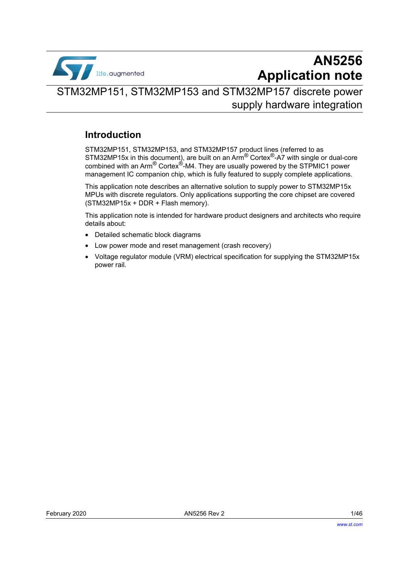

## **AN5256 Application note**

## STM32MP151, STM32MP153 and STM32MP157 discrete power supply hardware integration

## **Introduction**

STM32MP151, STM32MP153, and STM32MP157 product lines (referred to as STM32MP15x in this document), are built on an Arm® Cortex®-A7 with single or dual-core combined with an Arm<sup>®</sup> Cortex<sup>®</sup>-M4. They are usually powered by the STPMIC1 power management IC companion chip, which is fully featured to supply complete applications.

This application note describes an alternative solution to supply power to STM32MP15x MPUs with discrete regulators. Only applications supporting the core chipset are covered (STM32MP15x + DDR + Flash memory).

This application note is intended for hardware product designers and architects who require details about:

- Detailed schematic block diagrams
- Low power mode and reset management (crash recovery)
- Voltage regulator module (VRM) electrical specification for supplying the STM32MP15x power rail.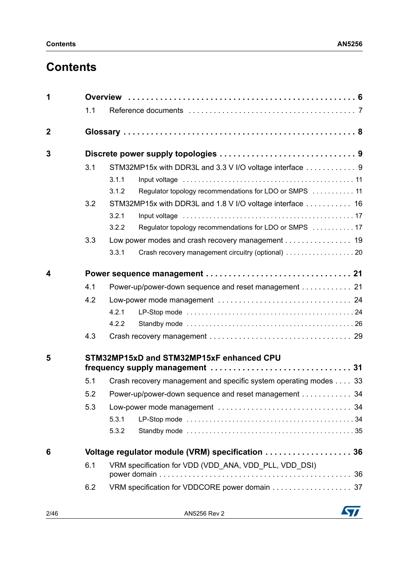## **Contents**

| 1           |     |                                                                  |  |  |  |  |  |  |
|-------------|-----|------------------------------------------------------------------|--|--|--|--|--|--|
|             | 1.1 |                                                                  |  |  |  |  |  |  |
| $\mathbf 2$ |     |                                                                  |  |  |  |  |  |  |
| 3           |     |                                                                  |  |  |  |  |  |  |
|             | 3.1 | STM32MP15x with DDR3L and 3.3 V I/O voltage interface  9         |  |  |  |  |  |  |
|             |     | 3.1.1                                                            |  |  |  |  |  |  |
|             |     | Regulator topology recommendations for LDO or SMPS  11<br>3.1.2  |  |  |  |  |  |  |
|             | 3.2 | STM32MP15x with DDR3L and 1.8 V I/O voltage interface  16        |  |  |  |  |  |  |
|             |     | 3.2.1                                                            |  |  |  |  |  |  |
|             |     | 3.2.2<br>Regulator topology recommendations for LDO or SMPS 17   |  |  |  |  |  |  |
|             | 3.3 | Low power modes and crash recovery management 19                 |  |  |  |  |  |  |
|             |     | 3.3.1                                                            |  |  |  |  |  |  |
| 4           |     |                                                                  |  |  |  |  |  |  |
|             | 4.1 | Power-up/power-down sequence and reset management 21             |  |  |  |  |  |  |
|             | 4.2 |                                                                  |  |  |  |  |  |  |
|             |     | 4.2.1                                                            |  |  |  |  |  |  |
|             |     | 4.2.2                                                            |  |  |  |  |  |  |
|             | 4.3 |                                                                  |  |  |  |  |  |  |
| 5           |     | STM32MP15xD and STM32MP15xF enhanced CPU                         |  |  |  |  |  |  |
|             |     |                                                                  |  |  |  |  |  |  |
|             | 5.1 | Crash recovery management and specific system operating modes 33 |  |  |  |  |  |  |
|             | 5.2 | Power-up/power-down sequence and reset management 34             |  |  |  |  |  |  |
|             | 5.3 |                                                                  |  |  |  |  |  |  |
|             |     | 5.3.1                                                            |  |  |  |  |  |  |
|             |     | 5.3.2                                                            |  |  |  |  |  |  |
| 6           |     | Voltage regulator module (VRM) specification 36                  |  |  |  |  |  |  |
|             | 6.1 | VRM specification for VDD (VDD_ANA, VDD_PLL, VDD_DSI)            |  |  |  |  |  |  |
|             |     |                                                                  |  |  |  |  |  |  |
|             | 6.2 | VRM specification for VDDCORE power domain 37                    |  |  |  |  |  |  |
|             |     |                                                                  |  |  |  |  |  |  |

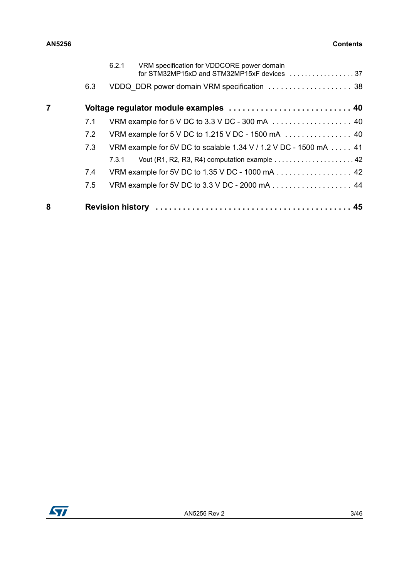|   |     | 6.2.1 | VRM specification for VDDCORE power domain                                       |  |
|---|-----|-------|----------------------------------------------------------------------------------|--|
|   | 6.3 |       |                                                                                  |  |
|   |     |       | Voltage regulator module examples  40                                            |  |
|   | 7.1 |       | VRM example for 5 V DC to 3.3 V DC - 300 mA $\ldots \ldots \ldots \ldots \ldots$ |  |
|   | 7.2 |       | VRM example for 5 V DC to 1.215 V DC - 1500 mA  40                               |  |
|   | 7.3 |       | VRM example for 5V DC to scalable 1.34 V / 1.2 V DC - 1500 mA  41                |  |
|   |     | 7.3.1 |                                                                                  |  |
|   | 7.4 |       | VRM example for 5V DC to 1.35 V DC - 1000 mA 42                                  |  |
|   | 7.5 |       |                                                                                  |  |
| 8 |     |       |                                                                                  |  |

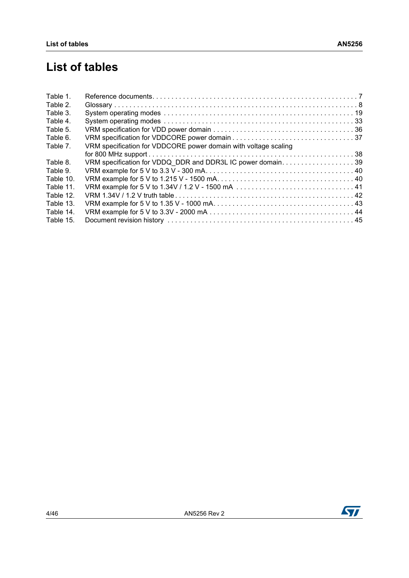## **List of tables**

| Table 1.  |                                                                 |  |
|-----------|-----------------------------------------------------------------|--|
| Table 2.  |                                                                 |  |
| Table 3.  |                                                                 |  |
| Table 4.  |                                                                 |  |
| Table 5.  |                                                                 |  |
| Table 6.  |                                                                 |  |
| Table 7.  | VRM specification for VDDCORE power domain with voltage scaling |  |
|           |                                                                 |  |
| Table 8.  | VRM specification for VDDQ DDR and DDR3L IC power domain39      |  |
| Table 9.  |                                                                 |  |
| Table 10. |                                                                 |  |
| Table 11. |                                                                 |  |
| Table 12. |                                                                 |  |
| Table 13. |                                                                 |  |
| Table 14. |                                                                 |  |
| Table 15. |                                                                 |  |
|           |                                                                 |  |

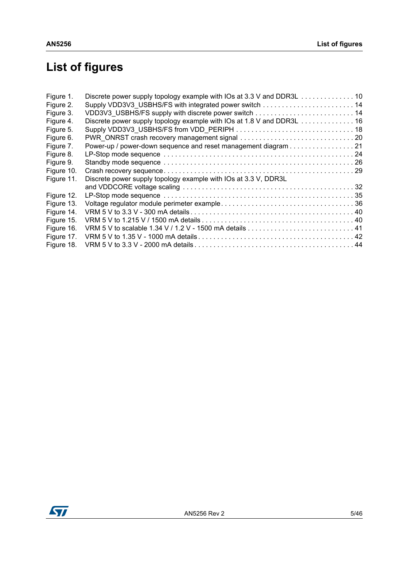# **List of figures**

| Figure 1.  | Discrete power supply topology example with IOs at 3.3 V and DDR3L 10 |  |
|------------|-----------------------------------------------------------------------|--|
| Figure 2.  |                                                                       |  |
| Figure 3.  |                                                                       |  |
| Figure 4.  | Discrete power supply topology example with IOs at 1.8 V and DDR3L 16 |  |
| Figure 5.  |                                                                       |  |
| Figure 6.  |                                                                       |  |
| Figure 7.  | Power-up / power-down sequence and reset management diagram 21        |  |
| Figure 8.  |                                                                       |  |
| Figure 9.  |                                                                       |  |
| Figure 10. |                                                                       |  |
| Figure 11. | Discrete power supply topology example with IOs at 3.3 V, DDR3L       |  |
|            |                                                                       |  |
| Figure 12. |                                                                       |  |
| Figure 13. |                                                                       |  |
| Figure 14. |                                                                       |  |
| Figure 15. |                                                                       |  |
| Figure 16. |                                                                       |  |
| Figure 17. |                                                                       |  |
| Figure 18. |                                                                       |  |

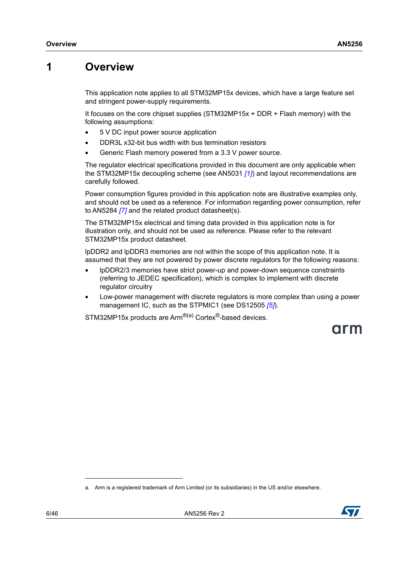## <span id="page-5-0"></span>**1 Overview**

This application note applies to all STM32MP15x devices, which have a large feature set and stringent power-supply requirements.

It focuses on the core chipset supplies (STM32MP15x + DDR + Flash memory) with the following assumptions:

- 5 V DC input power source application
- DDR3L x32-bit bus width with bus termination resistors
- Generic Flash memory powered from a 3.3 V power source.

The regulator electrical specifications provided in this document are only applicable when the STM32MP15x decoupling scheme (see AN5031 *[\[1\]](#page-6-2)*) and layout recommendations are carefully followed.

Power consumption figures provided in this application note are illustrative examples only, and should not be used as a reference. For information regarding power consumption, refer to AN5284 *[\[7\]](#page-6-3)* and the related product datasheet(s).

The STM32MP15x electrical and timing data provided in this application note is for illustration only, and should not be used as reference. Please refer to the relevant STM32MP15x product datasheet.

lpDDR2 and lpDDR3 memories are not within the scope of this application note. It is assumed that they are not powered by power discrete regulators for the following reasons:

- lpDDR2/3 memories have strict power-up and power-down sequence constraints (referring to JEDEC specification), which is complex to implement with discrete regulator circuitry
- Low-power management with discrete regulators is more complex than using a power management IC, such as the STPMIC1 (see DS12505 *[\[5\]](#page-6-4)*).

STM32MP15x products are Arm<sup>®(a)</sup> Cortex<sup>®</sup>-based devices.

arm

a. Arm is a registered trademark of Arm Limited (or its subsidiaries) in the US and/or elsewhere.

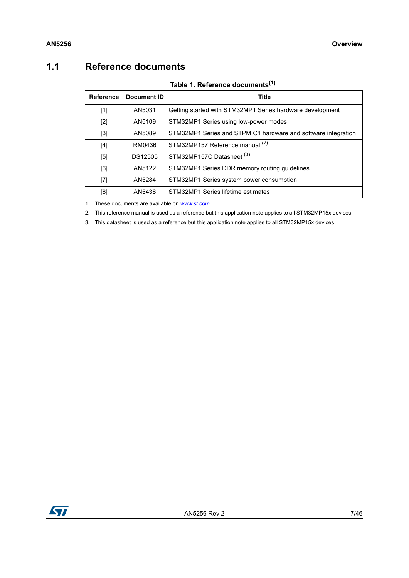## <span id="page-6-0"></span>**1.1 Reference documents**

|  | Table 1. Reference documents <sup>(1)</sup> |
|--|---------------------------------------------|
|  |                                             |

<span id="page-6-5"></span><span id="page-6-2"></span><span id="page-6-1"></span>

| <b>Reference</b> | Document ID | <b>Title</b>                                                  |
|------------------|-------------|---------------------------------------------------------------|
| $[1]$            | AN5031      | Getting started with STM32MP1 Series hardware development     |
| $[2]$            | AN5109      | STM32MP1 Series using low-power modes                         |
| $[3]$            | AN5089      | STM32MP1 Series and STPMIC1 hardware and software integration |
| $[4]$            | RM0436      | STM32MP157 Reference manual (2)                               |
| $[5]$            | DS12505     | STM32MP157C Datasheet (3)                                     |
| [6]              | AN5122      | STM32MP1 Series DDR memory routing guidelines                 |
| $[7]$            | AN5284      | STM32MP1 Series system power consumption                      |
| [8]              | AN5438      | STM32MP1 Series lifetime estimates                            |

<span id="page-6-7"></span><span id="page-6-6"></span><span id="page-6-4"></span><span id="page-6-3"></span>1. These documents are available on *[www.st.com](http://www.st.com)*.

2. This reference manual is used as a reference but this application note applies to all STM32MP15x devices.

3. This datasheet is used as a reference but this application note applies to all STM32MP15x devices.

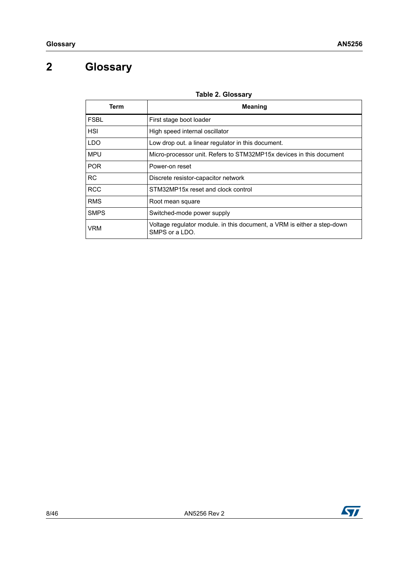## <span id="page-7-0"></span>**2 Glossary**

<span id="page-7-1"></span>

| Term        | <b>Meaning</b>                                                                            |
|-------------|-------------------------------------------------------------------------------------------|
| <b>FSBL</b> | First stage boot loader                                                                   |
| <b>HSI</b>  | High speed internal oscillator                                                            |
| <b>LDO</b>  | Low drop out. a linear regulator in this document.                                        |
| <b>MPU</b>  | Micro-processor unit. Refers to STM32MP15x devices in this document                       |
| POR.        | Power-on reset                                                                            |
| <b>RC</b>   | Discrete resistor-capacitor network                                                       |
| <b>RCC</b>  | STM32MP15x reset and clock control                                                        |
| <b>RMS</b>  | Root mean square                                                                          |
| <b>SMPS</b> | Switched-mode power supply                                                                |
| VRM         | Voltage regulator module. in this document, a VRM is either a step-down<br>SMPS or a LDO. |

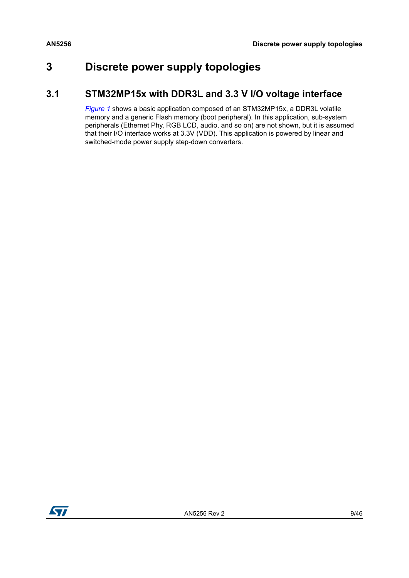## <span id="page-8-0"></span>**3 Discrete power supply topologies**

## <span id="page-8-1"></span>**3.1 STM32MP15x with DDR3L and 3.3 V I/O voltage interface**

*[Figure](#page-9-0) 1* shows a basic application composed of an STM32MP15x, a DDR3L volatile memory and a generic Flash memory (boot peripheral). In this application, sub-system peripherals (Ethernet Phy, RGB LCD, audio, and so on) are not shown, but it is assumed that their I/O interface works at 3.3V (VDD). This application is powered by linear and switched-mode power supply step-down converters.

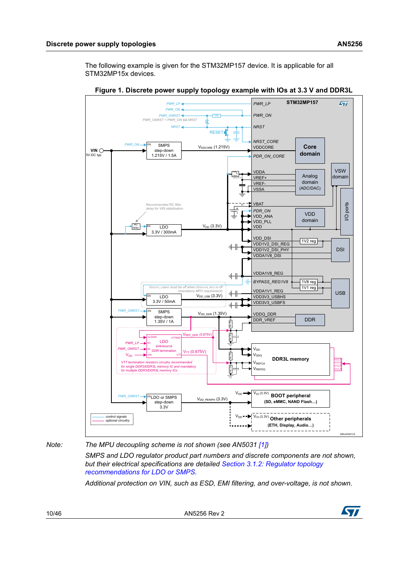The following example is given for the STM32MP157 device. It is applicable for all STM32MP15x devices.

<span id="page-9-0"></span>

**Figure 1. Discrete power supply topology example with IOs at 3.3 V and DDR3L**

*Note:* The MPU decoupling scheme is not shown (see AN5031 [\[1\]](#page-6-2))

*SMPS and LDO regulator product part numbers and discrete components are not shown, but their electrical specifications are detailed Section [3.1.2: Regulator topology](#page-10-1)  [recommendations for LDO or SMPS.](#page-10-1)*

*Additional protection on VIN, such as ESD, EMI filtering, and over-voltage, is not shown.*

10/46 AN5256 Rev 2

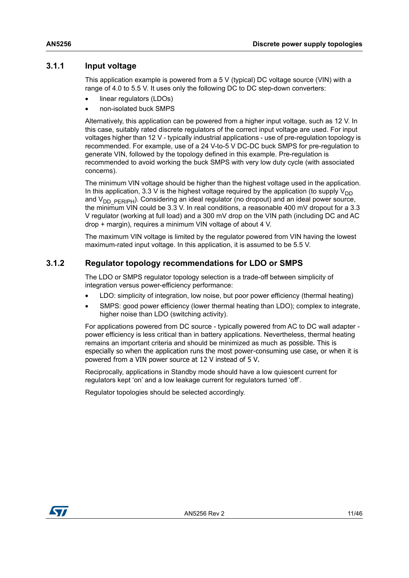#### <span id="page-10-0"></span>**3.1.1 Input voltage**

This application example is powered from a 5 V (typical) DC voltage source (VIN) with a range of 4.0 to 5.5 V. It uses only the following DC to DC step-down converters:

- linear regulators (LDOs)
- non-isolated buck SMPS

Alternatively, this application can be powered from a higher input voltage, such as 12 V. In this case, suitably rated discrete regulators of the correct input voltage are used. For input voltages higher than 12 V - typically industrial applications - use of pre-regulation topology is recommended. For example, use of a 24 V-to-5 V DC-DC buck SMPS for pre-regulation to generate VIN, followed by the topology defined in this example. Pre-regulation is recommended to avoid working the buck SMPS with very low duty cycle (with associated concerns).

The minimum VIN voltage should be higher than the highest voltage used in the application. In this application, 3.3 V is the highest voltage required by the application (to supply  $V_{DD}$ and  $V_{DD-PERIPH}$ ). Considering an ideal regulator (no dropout) and an ideal power source, the minimum VIN could be 3.3 V. In real conditions, a reasonable 400 mV dropout for a 3.3 V regulator (working at full load) and a 300 mV drop on the VIN path (including DC and AC drop + margin), requires a minimum VIN voltage of about 4 V.

The maximum VIN voltage is limited by the regulator powered from VIN having the lowest maximum-rated input voltage. In this application, it is assumed to be 5.5 V.

#### <span id="page-10-1"></span>**3.1.2 Regulator topology recommendations for LDO or SMPS**

The LDO or SMPS regulator topology selection is a trade-off between simplicity of integration versus power-efficiency performance:

- LDO: simplicity of integration, low noise, but poor power efficiency (thermal heating)
- SMPS: good power efficiency (lower thermal heating than LDO); complex to integrate, higher noise than LDO (switching activity).

For applications powered from DC source - typically powered from AC to DC wall adapter power efficiency is less critical than in battery applications. Nevertheless, thermal heating remains an important criteria and should be minimized as much as possible. This is especially so when the application runs the most power-consuming use case, or when it is powered from a VIN power source at 12 V instead of 5 V.

Reciprocally, applications in Standby mode should have a low quiescent current for regulators kept 'on' and a low leakage current for regulators turned 'off'.

Regulator topologies should be selected accordingly.

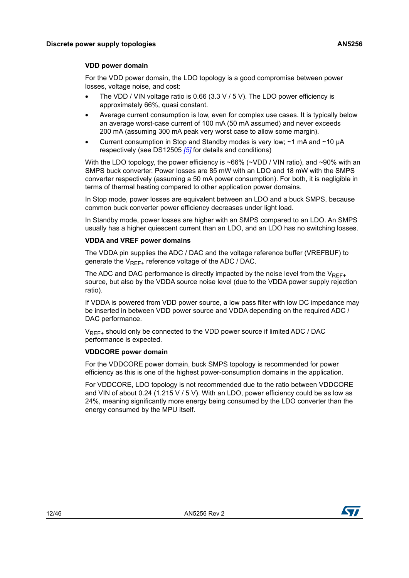#### **VDD power domain**

For the VDD power domain, the LDO topology is a good compromise between power losses, voltage noise, and cost:

- The VDD / VIN voltage ratio is 0.66 (3.3 V / 5 V). The LDO power efficiency is approximately 66%, quasi constant.
- Average current consumption is low, even for complex use cases. It is typically below an average worst-case current of 100 mA (50 mA assumed) and never exceeds 200 mA (assuming 300 mA peak very worst case to allow some margin).
- Current consumption in Stop and Standby modes is very low; ~1 mA and ~10 µA respectively (see DS12505 *[\[5\]](#page-6-4)* for details and conditions)

With the LDO topology, the power efficiency is ~66% (~VDD / VIN ratio), and ~90% with an SMPS buck converter. Power losses are 85 mW with an LDO and 18 mW with the SMPS converter respectively (assuming a 50 mA power consumption). For both, it is negligible in terms of thermal heating compared to other application power domains.

In Stop mode, power losses are equivalent between an LDO and a buck SMPS, because common buck converter power efficiency decreases under light load.

In Standby mode, power losses are higher with an SMPS compared to an LDO. An SMPS usually has a higher quiescent current than an LDO, and an LDO has no switching losses.

#### **VDDA and VREF power domains**

The VDDA pin supplies the ADC / DAC and the voltage reference buffer (VREFBUF) to generate the  $V_{REF+}$  reference voltage of the ADC / DAC.

The ADC and DAC performance is directly impacted by the noise level from the  $V_{RFF+}$ source, but also by the VDDA source noise level (due to the VDDA power supply rejection ratio).

If VDDA is powered from VDD power source, a low pass filter with low DC impedance may be inserted in between VDD power source and VDDA depending on the required ADC / DAC performance.

 $V_{REF+}$  should only be connected to the VDD power source if limited ADC / DAC performance is expected.

#### **VDDCORE power domain**

For the VDDCORE power domain, buck SMPS topology is recommended for power efficiency as this is one of the highest power-consumption domains in the application.

For VDDCORE, LDO topology is not recommended due to the ratio between VDDCORE and VIN of about 0.24 (1.215 V / 5 V). With an LDO, power efficiency could be as low as 24%, meaning significantly more energy being consumed by the LDO converter than the energy consumed by the MPU itself.

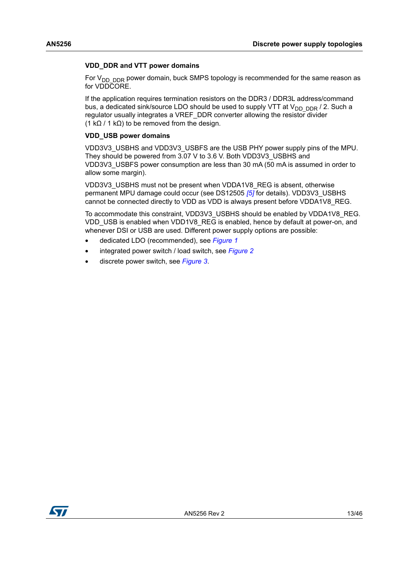#### **VDD\_DDR and VTT power domains**

For  $V_{DD-DDR}$  power domain, buck SMPS topology is recommended for the same reason as for VDDCORE.

If the application requires termination resistors on the DDR3 / DDR3L address/command bus, a dedicated sink/source LDO should be used to supply VTT at  $V_{DD-DDR}$  / 2. Such a regulator usually integrates a VREF\_DDR converter allowing the resistor divider (1 k $\Omega$  / 1 k $\Omega$ ) to be removed from the design.

#### **VDD\_USB power domains**

VDD3V3\_USBHS and VDD3V3\_USBFS are the USB PHY power supply pins of the MPU. They should be powered from 3.07 V to 3.6 V. Both VDD3V3\_USBHS and VDD3V3\_USBFS power consumption are less than 30 mA (50 mA is assumed in order to allow some margin).

VDD3V3\_USBHS must not be present when VDDA1V8\_REG is absent, otherwise permanent MPU damage could occur (see DS12505 *[\[5\]](#page-6-4)* for details). VDD3V3\_USBHS cannot be connected directly to VDD as VDD is always present before VDDA1V8\_REG.

To accommodate this constraint, VDD3V3\_USBHS should be enabled by VDDA1V8\_REG. VDD\_USB is enabled when VDD1V8\_REG is enabled, hence by default at power-on, and whenever DSI or USB are used. Different power supply options are possible:

- dedicated LDO (recommended), see *[Figure 1](#page-9-0)*
- integrated power switch / load switch, see *[Figure 2](#page-13-0)*
- discrete power switch, see *[Figure 3](#page-13-1)*.

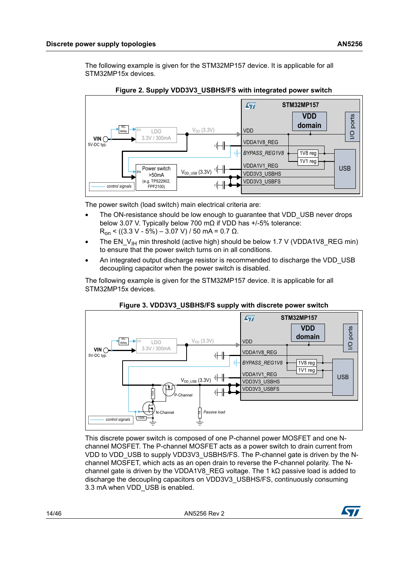The following example is given for the STM32MP157 device. It is applicable for all STM32MP15x devices.

<span id="page-13-0"></span>

**Figure 2. Supply VDD3V3\_USBHS/FS with integrated power switch**

The power switch (load switch) main electrical criteria are:

- The ON-resistance should be low enough to quarantee that VDD USB never drops below 3.07 V. Typically below 700 mΩ if VDD has +/-5% tolerance:  $R_{on}$  < ((3.3 V - 5%) – 3.07 V) / 50 mA = 0.7 Ω.
- The  $EN_V_{H}$  min threshold (active high) should be below 1.7 V (VDDA1V8\_REG min) to ensure that the power switch turns on in all conditions.
- An integrated output discharge resistor is recommended to discharge the VDD\_USB decoupling capacitor when the power switch is disabled.

The following example is given for the STM32MP157 device. It is applicable for all STM32MP15x devices.

<span id="page-13-1"></span>

#### **Figure 3. VDD3V3\_USBHS/FS supply with discrete power switch**

This discrete power switch is composed of one P-channel power MOSFET and one Nchannel MOSFET. The P-channel MOSFET acts as a power switch to drain current from VDD to VDD USB to supply VDD3V3 USBHS/FS. The P-channel gate is driven by the Nchannel MOSFET, which acts as an open drain to reverse the P-channel polarity. The Nchannel gate is driven by the VDDA1V8\_REG voltage. The 1 k $\Omega$  passive load is added to discharge the decoupling capacitors on VDD3V3\_USBHS/FS, continuously consuming 3.3 mA when VDD USB is enabled.

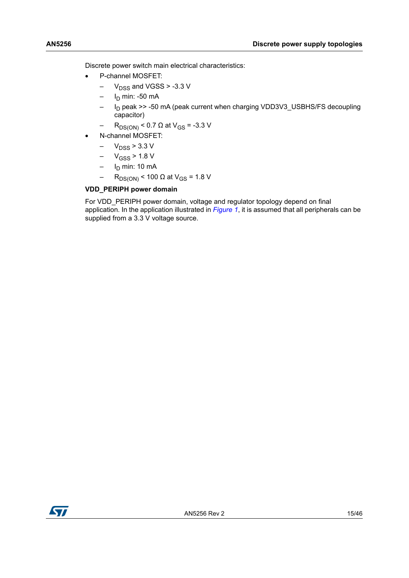Discrete power switch main electrical characteristics:

- P-channel MOSFET:
	- $-V_{DSS}$  and VGSS > -3.3 V
	- $-$  I<sub>D</sub> min: -50 mA
	- I<sub>D</sub> peak >> -50 mA (peak current when charging VDD3V3\_USBHS/FS decoupling capacitor)
	- R<sub>DS(ON)</sub> < 0.7 Ω at V<sub>GS</sub> = -3.3 V
- N-channel MOSFET:
	- $-V_{DSS}$  > 3.3 V
	- $-V_{GSS}$  > 1.8 V
	- $-$  I<sub>D</sub> min: 10 mA
	- R<sub>DS(ON)</sub> < 100 Ω at V<sub>GS</sub> = 1.8 V

#### **VDD\_PERIPH power domain**

For VDD\_PERIPH power domain, voltage and regulator topology depend on final application. In the application illustrated in *[Figure](#page-9-0) 1*, it is assumed that all peripherals can be supplied from a 3.3 V voltage source.

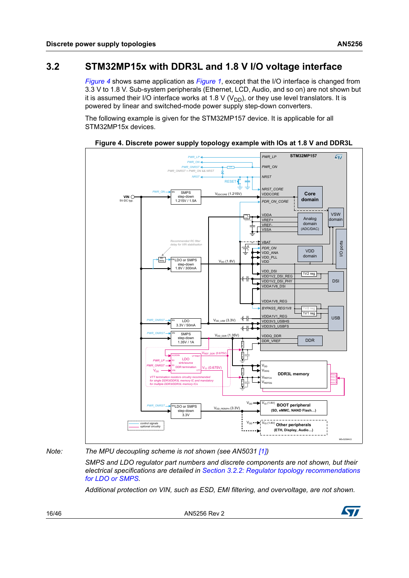## <span id="page-15-0"></span>**3.2 STM32MP15x with DDR3L and 1.8 V I/O voltage interface**

*[Figure](#page-15-1) 4* shows same application as *[Figure](#page-9-0) 1*, except that the I/O interface is changed from 3.3 V to 1.8 V. Sub-system peripherals (Ethernet, LCD, Audio, and so on) are not shown but it is assumed their I/O interface works at 1.8 V ( $V_{DD}$ ), or they use level translators. It is powered by linear and switched-mode power supply step-down converters.

The following example is given for the STM32MP157 device. It is applicable for all STM32MP15x devices.

**STM32MP157** *PWR\_LP*  $\overline{\mathbf{S}}$ *PWR\_LP PWR\_ON PWR\_ON PWR\_ONRST PWR\_ONRST = PWR\_ON && NRST NRST NRST* RESET *NRST\_CORE* SMPS *PWR\_ON* EN  $V_{DDODE}$  (1.215V) **VDDCORE Core VIN** step-down **domain**  $5V-DC$ 1.215V / 1.5A *PDR\_ON\_CORE* VSW VDDA ⌒ Analog VREF+ domai <1MHz *optional* doma VREF-(ADC/DAC) **VSSA** *Recommended RC filter*  VBAT I/O ports 重 or *delay for VIN stabilisation PDR\_ON* VDD VDD\_ANA<br>VDD\_PLL domain RC  $V_{DD}$  (1.8V) LDO or SMPS EN VDD delay step-down 1.8V / 300mA VDD\_DSI VDD1V2\_DSI\_REG  $1V2 \text{ reg}$ ⊩⊪ VDD1V2\_DSI\_PHY DSI VDDA1V8\_DSI VDDA1V8\_REG *BYPASS\_REG1V8* 1V8 reg<br>**1V1 reg** VDDA1V1\_REG USB 州  $V_{DD$  usb  $(3.3V)$ LDO VDD3V3\_USBHS *PWR\_ONRST* EN  $3.3V / 50m$ VDD3V3\_USBFS  $+$ SMPS *PWR\_ONRST* EN  $V_{DD\_DDR}$  (1.35 VDDQ\_DDR step-dow DDR\_VREF DDR 1.35V / 1A 1K 1% 1K 1%  $FF$  DDR  $(0.675)$ VLDOIN LDO VTTREF *PWR\_LP* S3 sink/source *PWR\_ONRST* V<sub>DD</sub> S5 DD ter  $_{TT}$  (0.675V) 1K 1% V<sub>DD</sub> V<sub>DDQ</sub> VIN VTT **DDR3L memory DDR3L memory** VREFCA termination *VTT termination resistors circuitry recommended*   $\frac{1}{k}$ *for single DDR3/DDR3L memory IC and mandatory*  Verro *for multiple DDR3/DDR3L memory ICs* **PWR\_ONRST** ENLIDO OF SMPS V<sub>DD\_PERIPH (3.3V) V<sub>DD</sub> PERIPH (3.3V) **PERIPH** (3.3V)</sub> LDO or SMPS **(SD, eMMC, NAND Flash…)** step-down 3.3V  $V_{DD}$   $\bullet$   $\bullet$   $V_{10}$  (1.8V) *control signals optional circuitry* **Other peripherals (ETH, Display, Audio…)** MSv52584V2

<span id="page-15-1"></span>**Figure 4. Discrete power supply topology example with IOs at 1.8 V and DDR3L**

*Note: The MPU decoupling scheme is not shown (see AN5031 [\[1\]](#page-6-2))*

*SMPS and LDO regulator part numbers and discrete components are not shown, but their electrical specifications are detailed in Section [3.2.2: Regulator topology recommendations](#page-16-1)  [for LDO or SMPS.](#page-16-1)*

*Additional protection on VIN, such as ESD, EMI filtering, and overvoltage, are not shown.*

16/46 AN5256 Rev 2

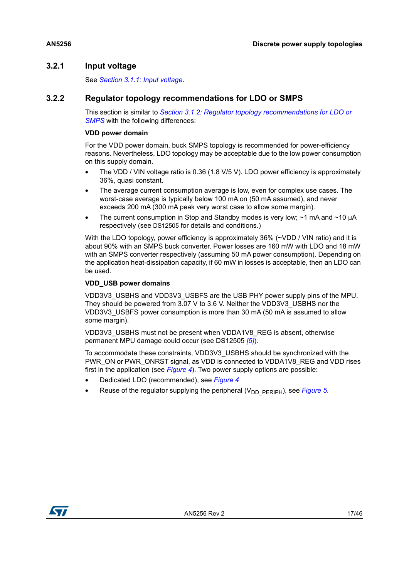### <span id="page-16-0"></span>**3.2.1 Input voltage**

See *Section [3.1.1: Input voltage](#page-10-0)*.

### <span id="page-16-1"></span>**3.2.2 Regulator topology recommendations for LDO or SMPS**

This section is similar to *Section [3.1.2: Regulator topology recommendations for LDO or](#page-10-1)*  **[SMPS](#page-10-1)** with the following differences:

#### **VDD power domain**

For the VDD power domain, buck SMPS topology is recommended for power-efficiency reasons. Nevertheless, LDO topology may be acceptable due to the low power consumption on this supply domain.

- The VDD / VIN voltage ratio is 0.36 (1.8 V/5 V). LDO power efficiency is approximately 36%, quasi constant.
- The average current consumption average is low, even for complex use cases. The worst-case average is typically below 100 mA on (50 mA assumed), and never exceeds 200 mA (300 mA peak very worst case to allow some margin).
- The current consumption in Stop and Standby modes is very low;  $\sim$ 1 mA and  $\sim$ 10 µA respectively (see DS12505 for details and conditions.)

With the LDO topology, power efficiency is approximately 36% (~VDD / VIN ratio) and it is about 90% with an SMPS buck converter. Power losses are 160 mW with LDO and 18 mW with an SMPS converter respectively (assuming 50 mA power consumption). Depending on the application heat-dissipation capacity, if 60 mW in losses is acceptable, then an LDO can be used.

#### **VDD\_USB power domains**

VDD3V3\_USBHS and VDD3V3\_USBFS are the USB PHY power supply pins of the MPU. They should be powered from 3.07 V to 3.6 V. Neither the VDD3V3\_USBHS nor the VDD3V3\_USBFS power consumption is more than 30 mA (50 mA is assumed to allow some margin).

VDD3V3\_USBHS must not be present when VDDA1V8\_REG is absent, otherwise permanent MPU damage could occur (see DS12505 *[\[5\]](#page-6-4)*).

To accommodate these constraints, VDD3V3\_USBHS should be synchronized with the PWR\_ON or PWR\_ONRST signal, as VDD is connected to VDDA1V8\_REG and VDD rises first in the application (see *[Figure](#page-15-1) 4*). Two power supply options are possible:

- Dedicated LDO (recommended), see *[Figure 4](#page-15-1)*
- Reuse of the regulator supplying the peripheral (V<sub>DD\_PERIPH</sub>), see *[Figure 5](#page-17-0)*.

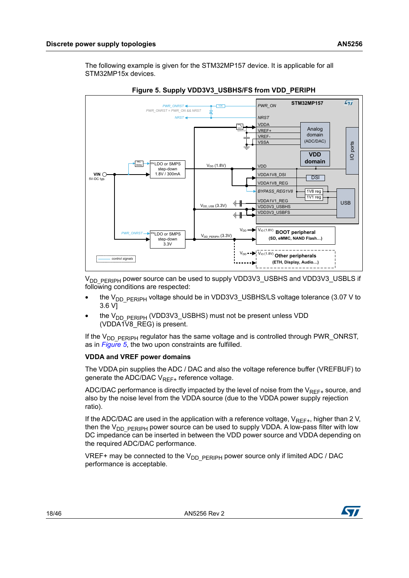The following example is given for the STM32MP157 device. It is applicable for all STM32MP15x devices.

<span id="page-17-0"></span>



V<sub>DD\_PERIPH</sub> power source can be used to supply VDD3V3\_USBHS and VDD3V3\_USBLS if following conditions are respected:

- the V<sub>DD\_PERIPH</sub> voltage should be in VDD3V3\_USBHS/LS voltage tolerance (3.07 V to 3.6 V]
- the V<sub>DD</sub> PERIPH (VDD3V3\_USBHS) must not be present unless VDD (VDDA1V8\_REG) is present.

If the  $V_{DD-PERIPH}$  regulator has the same voltage and is controlled through PWR ONRST, as in *[Figure](#page-17-0) 5*, the two upon constraints are fulfilled.

#### **VDDA and VREF power domains**

The VDDA pin supplies the ADC / DAC and also the voltage reference buffer (VREFBUF) to generate the ADC/DAC  $V_{RFF+}$  reference voltage.

ADC/DAC performance is directly impacted by the level of noise from the  $V_{RFF+}$  source, and also by the noise level from the VDDA source (due to the VDDA power supply rejection ratio).

If the ADC/DAC are used in the application with a reference voltage,  $V_{RFF+}$ , higher than 2 V, then the  $V_{DD-PERIPH}$  power source can be used to supply VDDA. A low-pass filter with low DC impedance can be inserted in between the VDD power source and VDDA depending on the required ADC/DAC performance.

VREF+ may be connected to the  $V_{DD}$  persiph power source only if limited ADC / DAC performance is acceptable.

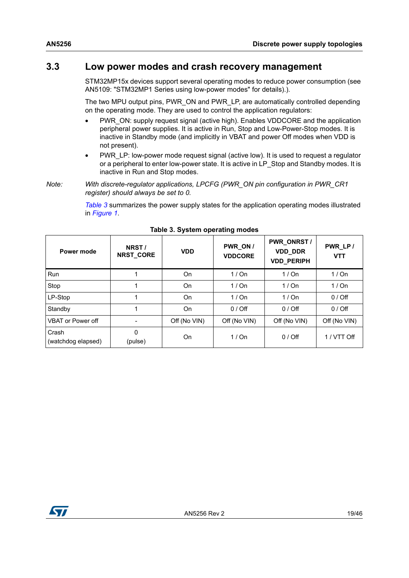### <span id="page-18-0"></span>**3.3 Low power modes and crash recovery management**

STM32MP15x devices support several operating modes to reduce power consumption (see AN5109: "STM32MP1 Series using low-power modes" for details).).

The two MPU output pins, PWR\_ON and PWR\_LP, are automatically controlled depending on the operating mode. They are used to control the application regulators:

- PWR\_ON: supply request signal (active high). Enables VDDCORE and the application peripheral power supplies. It is active in Run, Stop and Low-Power-Stop modes. It is inactive in Standby mode (and implicitly in VBAT and power Off modes when VDD is not present).
- PWR\_LP: low-power mode request signal (active low). It is used to request a regulator or a peripheral to enter low-power state. It is active in LP\_Stop and Standby modes. It is inactive in Run and Stop modes.
- *Note: With discrete-regulator applications, LPCFG (PWR\_ON pin configuration in PWR\_CR1 register) should always be set to 0.*

*[Table](#page-18-1) 3* summarizes the power supply states for the application operating modes illustrated in *[Figure](#page-9-0) 1*.

<span id="page-18-1"></span>

| Power mode                  | NRST/<br>NRST_CORE | <b>VDD</b>   | PWR_ON /<br><b>VDDCORE</b> | PWR_ONRST /<br><b>VDD_DDR</b><br><b>VDD PERIPH</b> | PWR_LP/<br><b>VTT</b> |
|-----------------------------|--------------------|--------------|----------------------------|----------------------------------------------------|-----------------------|
| <b>Run</b>                  |                    | On           | 1/On                       | 1/On                                               | 1/On                  |
| Stop                        |                    | <b>On</b>    | 1/On                       | 1/On                                               | 1/On                  |
| LP-Stop                     |                    | <b>On</b>    | 1/On                       | 1/On                                               | $0/$ Off              |
| Standby                     |                    | On           | $0/$ Off                   | $0/$ Off                                           | $0/$ Off              |
| <b>VBAT or Power off</b>    |                    | Off (No VIN) | Off (No VIN)               | Off (No VIN)                                       | Off (No VIN)          |
| Crash<br>(watchdog elapsed) | 0<br>(pulse)       | On           | 1/On                       | $0/$ Off                                           | 1 / VTT Off           |

**Table 3. System operating modes**

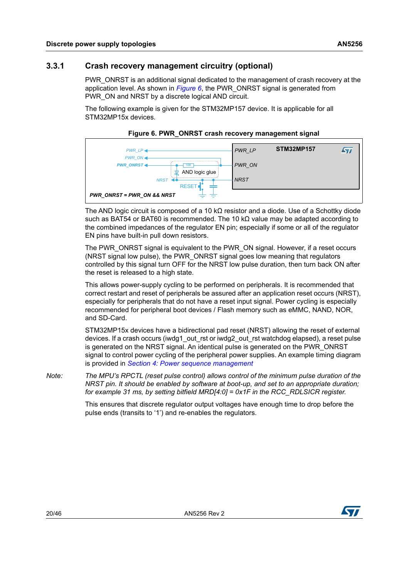### <span id="page-19-0"></span>**3.3.1 Crash recovery management circuitry (optional)**

PWR\_ONRST is an additional signal dedicated to the management of crash recovery at the application level. As shown in *[Figure](#page-19-1) 6*, the PWR\_ONRST signal is generated from PWR ON and NRST by a discrete logical AND circuit.

The following example is given for the STM32MP157 device. It is applicable for all STM32MP15x devices.

<span id="page-19-1"></span>

#### **Figure 6. PWR\_ONRST crash recovery management signal**

The AND logic circuit is composed of a 10 k $\Omega$  resistor and a diode. Use of a Schottky diode such as BAT54 or BAT60 is recommended. The 10 k $\Omega$  value may be adapted according to the combined impedances of the regulator EN pin; especially if some or all of the regulator EN pins have built-in pull down resistors.

The PWR\_ONRST signal is equivalent to the PWR\_ON signal. However, if a reset occurs (NRST signal low pulse), the PWR\_ONRST signal goes low meaning that regulators controlled by this signal turn OFF for the NRST low pulse duration, then turn back ON after the reset is released to a high state.

This allows power-supply cycling to be performed on peripherals. It is recommended that correct restart and reset of peripherals be assured after an application reset occurs (NRST), especially for peripherals that do not have a reset input signal. Power cycling is especially recommended for peripheral boot devices / Flash memory such as eMMC, NAND, NOR, and SD-Card.

STM32MP15x devices have a bidirectional pad reset (NRST) allowing the reset of external devices. If a crash occurs (iwdg1\_out\_rst or iwdg2\_out\_rst watchdog elapsed), a reset pulse is generated on the NRST signal. An identical pulse is generated on the PWR\_ONRST signal to control power cycling of the peripheral power supplies. An example timing diagram is provided in *Section [4: Power sequence management](#page-20-0)*

*Note: The MPU's RPCTL (reset pulse control) allows control of the minimum pulse duration of the NRST pin. It should be enabled by software at boot-up, and set to an appropriate duration; for example 31 ms, by setting bitfield MRD[4:0] = 0x1F in the RCC\_RDLSICR register.*

> This ensures that discrete regulator output voltages have enough time to drop before the pulse ends (transits to '1') and re-enables the regulators.

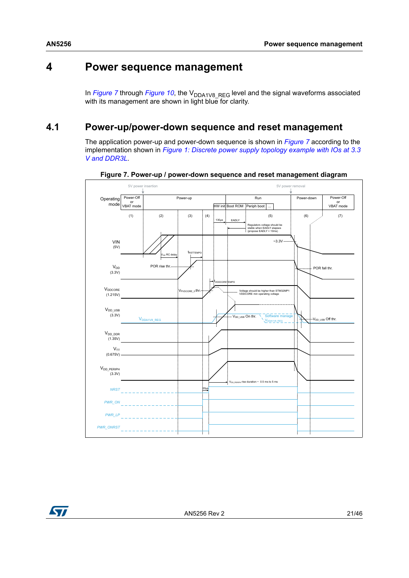## <span id="page-20-0"></span>**4 Power sequence management**

In *[Figure](#page-28-1)* 7 through *Figure* 10, the V<sub>DDA1V8</sub> REG level and the signal waveforms associated with its management are shown in light blue for clarity.

## <span id="page-20-1"></span>**4.1 Power-up/power-down sequence and reset management**

The application power-up and power-down sequence is shown in *[Figure](#page-20-2) 7* according to the implementation shown in *Figure [1: Discrete power supply topology example with IOs at 3.3](#page-9-0)  [V and DDR3L](#page-9-0)*.

<span id="page-20-2"></span>

**Figure 7. Power-up / power-down sequence and reset management diagram**

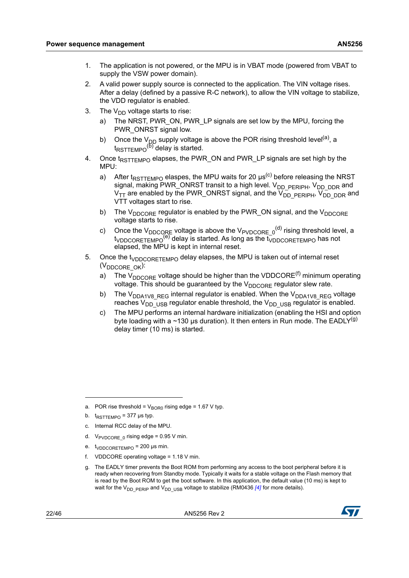- 1. The application is not powered, or the MPU is in VBAT mode (powered from VBAT to supply the VSW power domain).
- 2. A valid power supply source is connected to the application. The VIN voltage rises. After a delay (defined by a passive R-C network), to allow the VIN voltage to stabilize, the VDD regulator is enabled.
- 3. The  $V_{DD}$  voltage starts to rise:
	- The NRST, PWR\_ON, PWR\_LP signals are set low by the MPU, forcing the PWR\_ONRST signal low.
	- b) Once the V<sub>DD</sub> supply voltage is above the POR rising threshold level<sup>(a)</sup>, a t<sub>RSTTEMPO</sub><sup>(b)</sup> delay is started.
- 4. Once  $t_{RSTTFMPO}$  elapses, the PWR\_ON and PWR\_LP signals are set high by the MPU:
	- a) After  $t_{RSTTEMPO}$  elaspes, the MPU waits for 20  $\mu s^{(c)}$  before releasing the NRST signal, making PWR\_ONRST transit to a high level. V<sub>DD\_PERIPH</sub>, V<sub>DD\_DDR</sub> and  $V_{TT}$  are enabled by the PWR\_ONRST signal, and the  $V_{DD}^ _{PERIPH}$ ,  $V_{DD}^ _{DDR}$  and VTT voltages start to rise.
	- b) The  $V_{DDCORE}$  regulator is enabled by the PWR\_ON signal, and the  $V_{DDCORE}$ voltage starts to rise.
	- c) Once the V $_{\text{DDCORE}}$  voltage is above the V $_{\text{PVDCORE\_0}}^{(\text{d})}$  rising threshold level, a  $t_{\text{VDDCORETEMPO}}^{(e)}$  delay is started. As long as the  $t_{\text{VDDCORETEMPO}}$  has not elapsed, the MPU is kept in internal reset.
- 5. Once the t<sub>VDDCORETEMPO</sub> delay elapses, the MPU is taken out of internal reset (V<sub>DDCORE</sub> OK):
	- a) The V<sub>DDCORE</sub> voltage should be higher than the VDDCORE<sup>(f)</sup> minimum operating voltage. This should be guaranteed by the  $V_{DDCORE}$  regulator slew rate.
	- b) The V<sub>DDA1V8</sub> REG internal regulator is enabled. When the V<sub>DDA1V8</sub> REG voltage reaches  $V_{DD}$  us regulator enable threshold, the  $V_{DD}$  us regulator is enabled.
	- c) The MPU performs an internal hardware initialization (enabling the HSI and option byte loading with a ~130 us duration). It then enters in Run mode. The EADLY<sup>(g)</sup> delay timer (10 ms) is started.

- b.  $t_{RSTTEMPO}$  = 377 µs typ.
- c. Internal RCC delay of the MPU.
- d.  $V_{\text{PVDCORE 0}}$  rising edge = 0.95 V min.
- e.  $t_{VDDCORETEMPO}$  = 200 µs min.
- f. VDDCORE operating voltage = 1.18 V min.
- g. The EADLY timer prevents the Boot ROM from performing any access to the boot peripheral before it is ready when recovering from Standby mode. Typically it waits for a stable voltage on the Flash memory that is read by the Boot ROM to get the boot software. In this application, the default value (10 ms) is kept to wait for the V<sub>DD\_PERIP</sub> and V<sub>DD\_USB</sub> voltage to stabilize (RM0436 [\[4\]](#page-6-5) for more details).



a. POR rise threshold =  $V_{\text{BOR0}}$  rising edge = 1.67 V typ.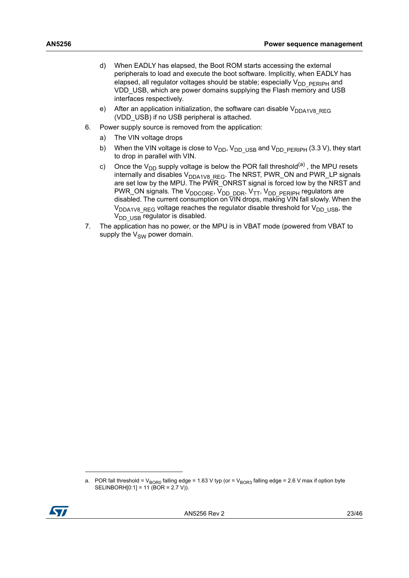- d) When EADLY has elapsed, the Boot ROM starts accessing the external peripherals to load and execute the boot software. Implicitly, when EADLY has elapsed, all regulator voltages should be stable; especially  $V_{DD-PERIPH}$  and VDD USB, which are power domains supplying the Flash memory and USB interfaces respectively.
- e) After an application initialization, the software can disable  $V_{DDA1V8-REG}$ (VDD\_USB) if no USB peripheral is attached.
- 6. Power supply source is removed from the application:
	- a) The VIN voltage drops
	- b) When the VIN voltage is close to  $V_{DD}$ ,  $V_{DD}$  usp and  $V_{DD}$  pERIPH (3.3 V), they start to drop in parallel with VIN.
	- c) Once the V<sub>DD</sub> supply voltage is below the POR fall threshold<sup>(a)</sup>, the MPU resets internally and disables  $\rm V_{DDA1V8\_REG}$ . The NRST, PWR\_ON and PWR\_LP signals are set low by the MPU. The PWR\_ONRST signal is forced low by the NRST and PWR\_ON signals. The V<sub>DDCORE</sub>, V<sub>DD\_DDR</sub>, V<sub>TT</sub>, V<sub>DD\_PERIPH</sub> regulators are disabled. The current consumption on VIN drops, making VIN fall slowly. When the  $V_{DDA1V8-REG}$  voltage reaches the regulator disable threshold for  $V_{DD-USB}$ , the  $V_{DD}$   $_{USB}$  regulator is disabled.
- 7. The application has no power, or the MPU is in VBAT mode (powered from VBAT to supply the  $V_{SW}$  power domain.

a. POR fall threshold =  $V_{BOR0}$  falling edge = 1.63 V typ (or =  $V_{BOR3}$  falling edge = 2.6 V max if option byte SELINBORH $[0:1] = 11$  (BOR = 2.7 V)).

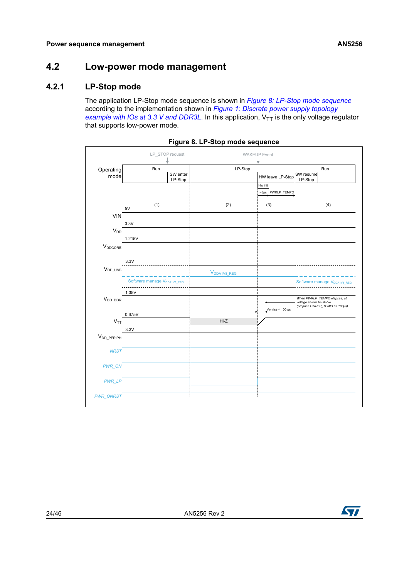## <span id="page-23-0"></span>**4.2 Low-power mode management**

### <span id="page-23-1"></span>**4.2.1 LP-Stop mode**

The application LP-Stop mode sequence is shown in *Figure [8: LP-Stop mode sequence](#page-23-2)* according to the implementation shown in *Figure [1: Discrete power supply topology](#page-9-0)  [example with IOs at 3.3 V and DDR3L](#page-9-0)*. In this application,  $V_{TT}$  is the only voltage regulator that supports low-power mode.

<span id="page-23-2"></span>

|                   |                                         | LP STOP request     |                         | <b>WAKEUP Event</b>         |                                                           |
|-------------------|-----------------------------------------|---------------------|-------------------------|-----------------------------|-----------------------------------------------------------|
| Operating<br>mode | Run                                     | SW enter<br>LP-Stop | LP-Stop                 | HW leave LP-Stop<br>Hw init | Run<br>SW resume<br>LP-Stop                               |
|                   |                                         |                     |                         | ~5µs PWRLP_TEMPO            |                                                           |
|                   | (1)<br>5V                               |                     | (2)                     | (3)                         | (4)                                                       |
| <b>VIN</b>        |                                         |                     |                         |                             |                                                           |
|                   | 3.3V                                    |                     |                         |                             |                                                           |
| $V_{DD}$          | 1.215V                                  |                     |                         |                             |                                                           |
| $V_{DDCORE}$      |                                         |                     |                         |                             |                                                           |
|                   | 3.3V                                    |                     |                         |                             |                                                           |
| $V_{DD\_USB}$     |                                         |                     | V <sub>DDA1V8_REG</sub> |                             |                                                           |
|                   | Software manage V <sub>DDA1V8</sub> REG |                     |                         |                             | Software manage V <sub>DDA1V8</sub> REG                   |
| $V_{DD\_DDR}$     | 1.35V                                   |                     |                         |                             | When PWRLP_TEMPO elapses, all                             |
|                   | 0.675V                                  |                     |                         | $V_{TT}$ rise < 100 µs      | voltage should be stable<br>(propose PWRLP_TEMPO = 100µs) |
| $V_{TT}$          |                                         |                     | Hi-Z                    |                             |                                                           |
|                   | 3.3V                                    |                     |                         |                             |                                                           |
| $V_{DD\_PERIPH}$  |                                         |                     |                         |                             |                                                           |
| <b>NRST</b>       |                                         |                     |                         |                             |                                                           |
| PWR_ON            |                                         |                     |                         |                             |                                                           |
| PWR_LP            |                                         |                     |                         |                             |                                                           |
| <b>PWR_ONRST</b>  |                                         |                     |                         |                             |                                                           |



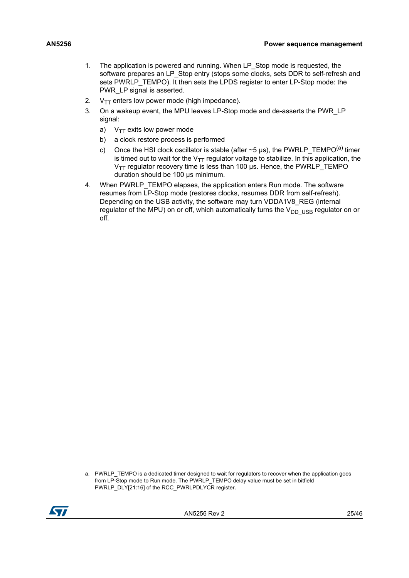- 1. The application is powered and running. When LP\_Stop mode is requested, the software prepares an LP\_Stop entry (stops some clocks, sets DDR to self-refresh and sets PWRLP\_TEMPO). It then sets the LPDS register to enter LP-Stop mode: the PWR LP signal is asserted.
- 2.  $V_{TT}$  enters low power mode (high impedance).
- 3. On a wakeup event, the MPU leaves LP-Stop mode and de-asserts the PWR\_LP signal:
	- a)  $V_{TT}$  exits low power mode
	- b) a clock restore process is performed
	- c) Once the HSI clock oscillator is stable (after  $\sim$  5 µs), the PWRLP\_TEMPO<sup>(a)</sup> timer is timed out to wait for the  $V_{TT}$  regulator voltage to stabilize. In this application, the  $V_{TT}$  regulator recovery time is less than 100  $\mu$ s. Hence, the PWRLP\_TEMPO duration should be 100 µs minimum.
- 4. When PWRLP TEMPO elapses, the application enters Run mode. The software resumes from LP-Stop mode (restores clocks, resumes DDR from self-refresh). Depending on the USB activity, the software may turn VDDA1V8 REG (internal regulator of the MPU) on or off, which automatically turns the  $V_{DD-USB}$  regulator on or off.

a. PWRLP\_TEMPO is a dedicated timer designed to wait for regulators to recover when the application goes from LP-Stop mode to Run mode. The PWRLP\_TEMPO delay value must be set in bitfield PWRLP\_DLY[21:16] of the RCC\_PWRLPDLYCR register.

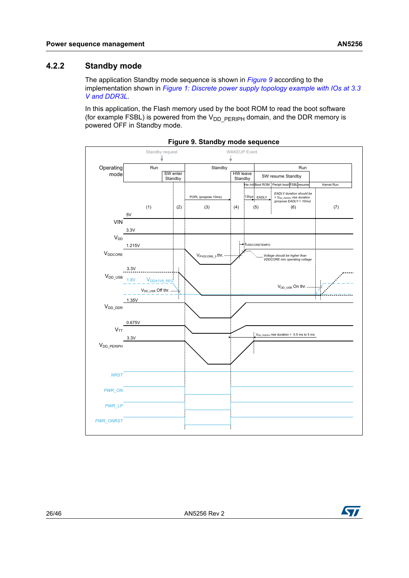#### <span id="page-25-0"></span>**4.2.2 Standby mode**

The application Standby mode sequence is shown in *[Figure](#page-25-1) 9* according to the implementation shown in *Figure [1: Discrete power supply topology example with IOs at 3.3](#page-9-0)  [V and DDR3L](#page-9-0)*.

In this application, the Flash memory used by the boot ROM to read the boot software (for example FSBL) is powered from the  $V_{DD-PERIPH}$  domain, and the DDR memory is powered OFF in Standby mode.

<span id="page-25-1"></span>

**Figure 9. Standby mode sequence**

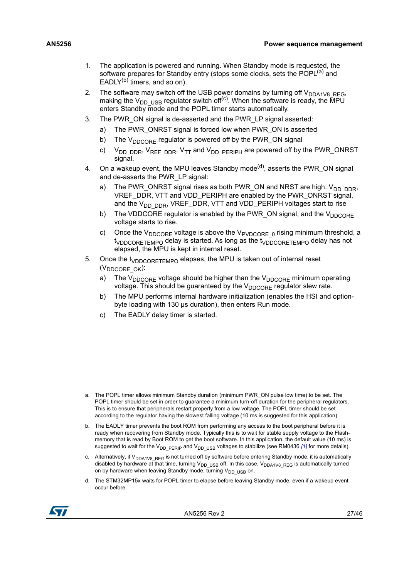- 1. The application is powered and running. When Standby mode is requested, the software prepares for Standby entry (stops some clocks, sets the POPL<sup>(a)</sup> and EADL $Y^{(b)}$  timers, and so on).
- 2. The software may switch off the USB power domains by turning off  $V_{DDA1V8-REG}$ , making the V<sub>DD</sub> <sub>USB</sub> regulator switch off<sup>(c)</sup>. When the software is ready, the MPU enters Standby mode and the POPL timer starts automatically.
- 3. The PWR\_ON signal is de-asserted and the PWR\_LP signal asserted:
	- a) The PWR\_ONRST signal is forced low when PWR\_ON is asserted
	- b) The V<sub>DDCORE</sub> regulator is powered off by the PWR\_ON signal
	- c)  $V_{DD-DDR}$ ,  $V_{REF-DDR}$ ,  $V_{TT}$  and  $V_{DD-PERIPH}$  are powered off by the PWR\_ONRST signal.
- 4. On a wakeup event, the MPU leaves Standby mode<sup>(d)</sup>, asserts the PWR ON signal and de-asserts the PWR\_LP signal:
	- a) The PWR\_ONRST signal rises as both PWR\_ON and NRST are high.  $V_{DD-DDR}$ , VREF\_DDR, VTT and VDD\_PERIPH are enabled by the PWR\_ONRST signal, and the  $V_{DD-DDR}$ , VREF\_DDR, VTT and VDD\_PERIPH voltages start to rise
	- b) The VDDCORE regulator is enabled by the PWR\_ON signal, and the  $V_{DDCORE}$ voltage starts to rise.
	- c) Once the V<sub>DDCORE</sub> voltage is above the V<sub>PVDCORE</sub> o rising minimum threshold, a t<sub>VDDCORETEMPO</sub> delay is started. As long as the t<sub>VDDCORETEMPO</sub> delay has not elapsed, the MPU is kept in internal reset.
- 5. Once the t<sub>VDDCORETEMPO</sub> elapses, the MPU is taken out of internal reset (V<sub>DDCORE</sub> OK):
	- a) The  $V_{DDCORE}$  voltage should be higher than the  $V_{DDCORE}$  minimum operating voltage. This should be guaranteed by the  $V_{\text{DDCORF}}$  regulator slew rate.
	- b) The MPU performs internal hardware initialization (enables the HSI and optionbyte loading with 130 µs duration), then enters Run mode.
	- c) The EADLY delay timer is started.

d. The STM32MP15x waits for POPL timer to elapse before leaving Standby mode; even if a wakeup event occur before.



a. The POPL timer allows minimum Standby duration (minimum PWR\_ON pulse low time) to be set. The POPL timer should be set in order to guarantee a minimum turn-off duration for the peripheral regulators. This is to ensure that peripherals restart properly from a low voltage. The POPL timer should be set according to the regulator having the slowest falling voltage (10 ms is suggested for this application).

b. The EADLY timer prevents the boot ROM from performing any access to the boot peripheral before it is ready when recovering from Standby mode. Typically this is to wait for stable supply voltage to the Flashmemory that is read by Boot ROM to get the boot software. In this application, the default value (10 ms) is suggested to wait for the V<sub>DD\_PERIP</sub> and V<sub>DD\_USB</sub> voltages to stabilize (see RM0436 *[\[1\]](#page-6-2)* for more details).

c. Alternatively, if V<sub>DDA1V8</sub> REG is not turned off by software before entering Standby mode, it is automatically disabled by hardware at that time, turning  $V_{DD-USB}$  off. In this case,  $V_{DDA1VB-RES}$  is automatically turned on by hardware when leaving Standby mode, turning  $V_{DD\_USB}$  on.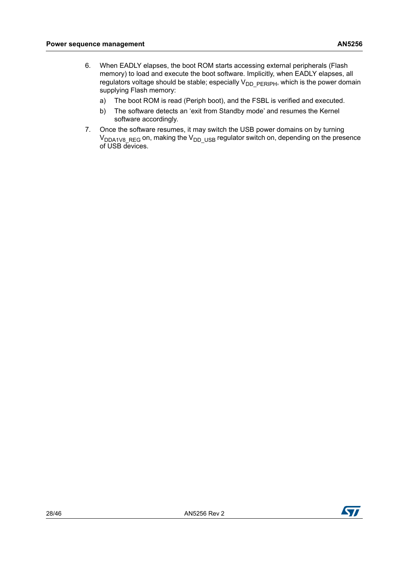- 6. When EADLY elapses, the boot ROM starts accessing external peripherals (Flash memory) to load and execute the boot software. Implicitly, when EADLY elapses, all regulators voltage should be stable; especially  $V_{DD}$   $_{PERIPH}$ , which is the power domain supplying Flash memory:
	- a) The boot ROM is read (Periph boot), and the FSBL is verified and executed.
	- b) The software detects an 'exit from Standby mode' and resumes the Kernel software accordingly.
- 7. Once the software resumes, it may switch the USB power domains on by turning  $\rm V_{DDA1V8\_REG}$  on, making the  $\rm V_{DD\_USB}$  regulator switch on, depending on the presence of USB devices.

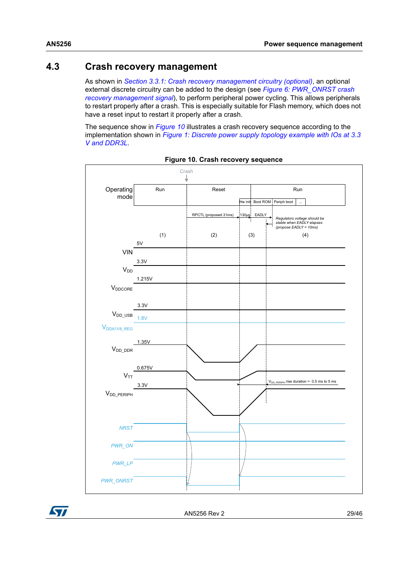## <span id="page-28-0"></span>**4.3 Crash recovery management**

As shown in *Section [3.3.1: Crash recovery management circuitry \(optional\)](#page-19-0)*, an optional external discrete circuitry can be added to the design (see *Figure [6: PWR\\_ONRST crash](#page-19-1)  [recovery management signal](#page-19-1)*), to perform peripheral power cycling. This allows peripherals to restart properly after a crash. This is especially suitable for Flash memory, which does not have a reset input to restart it properly after a crash.

The sequence show in *[Figure](#page-28-1) 10* illustrates a crash recovery sequence according to the implementation shown in *Figure [1: Discrete power supply topology example with IOs at 3.3](#page-9-0)  [V and DDR3L](#page-9-0)*.

<span id="page-28-1"></span>

| Operating               | Run    | Reset                 |             |                              | Run                                                                                 |
|-------------------------|--------|-----------------------|-------------|------------------------------|-------------------------------------------------------------------------------------|
| mode                    |        |                       |             | Hw init Boot ROM Periph boot | $\ddotsc$                                                                           |
|                         |        | RPCTL (proposed 31ms) | 130µs EADLY |                              |                                                                                     |
|                         |        |                       |             |                              | Regulators voltage should be<br>stable when EADLY elapses<br>(propose EADLY = 10ms) |
|                         | (1)    | (2)                   | (3)         |                              | (4)                                                                                 |
| <b>VIN</b>              | 5V     |                       |             |                              |                                                                                     |
|                         | 3.3V   |                       |             |                              |                                                                                     |
| V <sub>DD</sub>         | 1.215V |                       |             |                              |                                                                                     |
| $V_{DDCORE}$            |        |                       |             |                              |                                                                                     |
|                         | 3.3V   |                       |             |                              |                                                                                     |
| $V_{DD\_USB}$           | 1.8V   |                       |             |                              |                                                                                     |
| V <sub>DDA1V8_REG</sub> |        |                       |             |                              |                                                                                     |
|                         | 1.35V  |                       |             |                              |                                                                                     |
| $V_{DD_DDR}$            |        |                       |             |                              |                                                                                     |
|                         | 0.675V |                       |             |                              |                                                                                     |
| $V_{TT}$                |        |                       |             |                              |                                                                                     |
|                         | 3.3V   |                       |             |                              | V <sub>DD_PERIPH</sub> rise duration = 0.5 ms to 5 ms                               |
| $V_{DD\_PERIPH}$        |        |                       |             |                              |                                                                                     |
|                         |        |                       |             |                              |                                                                                     |
| <b>NRST</b>             |        |                       |             |                              |                                                                                     |
|                         |        |                       |             |                              |                                                                                     |
| PWR_ON                  |        |                       |             |                              |                                                                                     |
| PWR_LP                  |        |                       |             |                              |                                                                                     |
| <b>PWR_ONRST</b>        |        |                       |             |                              |                                                                                     |

**Figure 10. Crash recovery sequence**

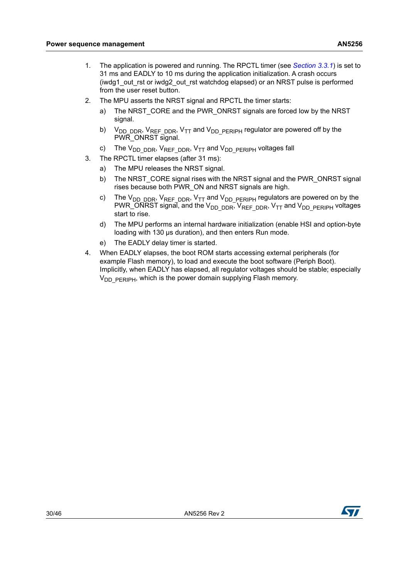- 1. The application is powered and running. The RPCTL timer (see *[Section](#page-19-0) 3.3.1*) is set to 31 ms and EADLY to 10 ms during the application initialization. A crash occurs (iwdg1\_out\_rst or iwdg2\_out\_rst watchdog elapsed) or an NRST pulse is performed from the user reset button.
- 2. The MPU asserts the NRST signal and RPCTL the timer starts:
	- a) The NRST\_CORE and the PWR\_ONRST signals are forced low by the NRST signal.
	- b)  $V_{DD\_DDR}$ ,  $V_{REF\_DDR}$ ,  $V_{TT}$  and  $V_{DD\_PERIPH}$  regulator are powered off by the PWR\_ONRST signal.
	- c) The  $V_{DD\_DDR}$ ,  $V_{REF\_DDR}$ ,  $V_{TT}$  and  $V_{DD\_PERIPH}$  voltages fall
- 3. The RPCTL timer elapses (after 31 ms):
	- a) The MPU releases the NRST signal.
	- b) The NRST CORE signal rises with the NRST signal and the PWR ONRST signal rises because both PWR\_ON and NRST signals are high.
	- c) The V<sub>DD\_DDR</sub>, V<sub>REF\_DDR</sub>, V<sub>TT</sub> and V<sub>DD\_PERIPH</sub> regulators are powered on by the PWR\_ONRST signal, and the  $V_{DD-DDR}$ ,  $V_{REF-DDR}$ ,  $V_{TT}$  and  $V_{DD-PERIPH}$  voltages start to rise.
	- d) The MPU performs an internal hardware initialization (enable HSI and option-byte loading with 130 μs duration), and then enters Run mode.
	- e) The EADLY delay timer is started.
- 4. When EADLY elapses, the boot ROM starts accessing external peripherals (for example Flash memory), to load and execute the boot software (Periph Boot). Implicitly, when EADLY has elapsed, all regulator voltages should be stable; especially  $V<sub>DD</sub>$   $PERIPH$ , which is the power domain supplying Flash memory.

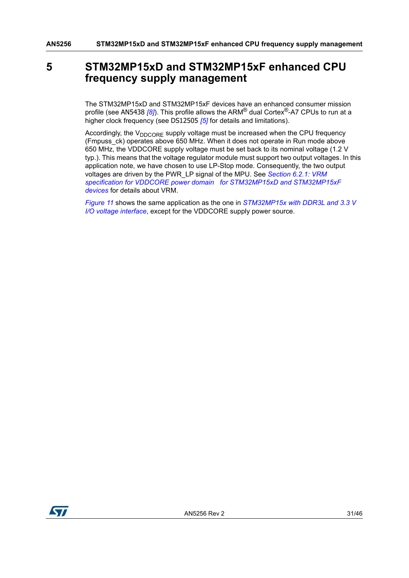## <span id="page-30-0"></span>**5 STM32MP15xD and STM32MP15xF enhanced CPU frequency supply management**

The STM32MP15xD and STM32MP15xF devices have an enhanced consumer mission profile (see AN5438 *[\[8\]](#page-6-6)*). This profile allows the ARM® dual Cortex®-A7 CPUs to run at a higher clock frequency (see DS12505 *[\[5\]](#page-6-4)* for details and limitations).

Accordingly, the  $V_{DDCORE}$  supply voltage must be increased when the CPU frequency (Fmpuss\_ck) operates above 650 MHz. When it does not operate in Run mode above 650 MHz, the VDDCORE supply voltage must be set back to its nominal voltage (1.2 V typ.). This means that the voltage regulator module must support two output voltages. In this application note, we have chosen to use LP-Stop mode. Consequently, the two output voltages are driven by the PWR\_LP signal of the MPU. See *Section [6.2.1: VRM](#page-36-1)  [specification for VDDCORE power domain for STM32MP15xD and STM32MP15xF](#page-36-1)  [devices](#page-36-1)* for details about VRM.

*[Figure](#page-31-0) 11* shows the same application as the one in *[STM32MP15x with DDR3L and 3.3](#page-8-1) V [I/O voltage interface](#page-8-1)*, except for the VDDCORE supply power source.

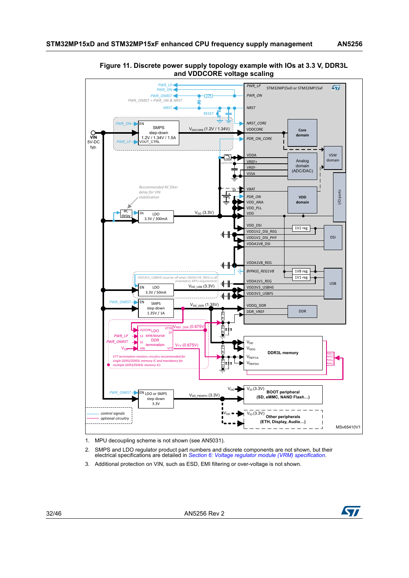

#### <span id="page-31-0"></span>**Figure 11. Discrete power supply topology example with IOs at 3.3 V, DDR3L and VDDCORE voltage scaling**

1. MPU decoupling scheme is not shown (see AN5031).

- 2. SMPS and LDO regulator product part numbers and discrete components are not shown, but their electrical specifications are detailed in *[Section 6: Voltage regulator module \(VRM\) specification](#page-35-0)*.
- 3. Additional protection on VIN, such as ESD, EMI filtering or over-voltage is not shown.

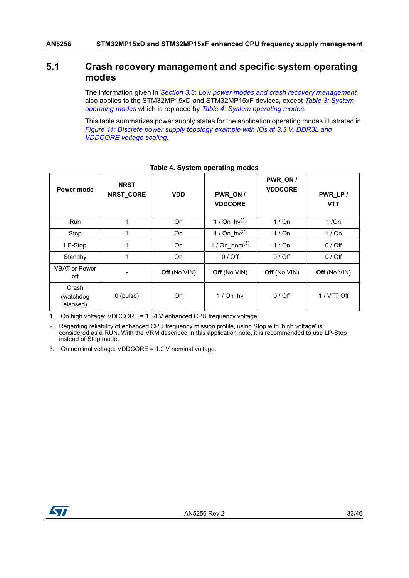### <span id="page-32-0"></span>**5.1 Crash recovery management and specific system operating modes**

The information given in *Section [3.3: Low power modes and crash recovery management](#page-18-0)* also applies to the STM32MP15xD and STM32MP15xF devices, except *Table [3: System](#page-18-1)  [operating modes](#page-18-1)* which is replaced by *Table [4: System operating modes](#page-32-1)*.

This table summarizes power supply states for the application operating modes illustrated in *Figure [11: Discrete power supply topology example with IOs at 3.3 V, DDR3L and](#page-31-0)  [VDDCORE voltage scaling](#page-31-0)*.

<span id="page-32-1"></span>

| Power mode                     | <b>NRST</b><br>NRST_CORE | <b>VDD</b>   | PWR_ON /<br><b>VDDCORE</b> | PWR_ON /<br><b>VDDCORE</b> | PWR_LP/<br><b>VTT</b> |
|--------------------------------|--------------------------|--------------|----------------------------|----------------------------|-----------------------|
| <b>Run</b>                     | 1                        | On           | 1 / On_hv <sup>(1)</sup>   | 1/On                       | 1/On                  |
| Stop                           | 1                        | On           | 1 / $On_hv^{(2)}$          | 1/On                       | 1/On                  |
| LP-Stop                        | 1                        | On           | 1 / $On\_nom^{(3)}$        | 1/On                       | $0/$ Off              |
| Standby                        | 1                        | <b>On</b>    | $0/$ Off                   | $0/$ Off                   | $0/$ Off              |
| <b>VBAT or Power</b><br>off    |                          | Off (No VIN) | Off (No VIN)               | Off (No VIN)               | Off (No VIN)          |
| Crash<br>(watchdog<br>elapsed) | $0$ (pulse)              | On           | $1/On$ hv                  | $0/$ Off                   | 1 / VTT Off           |

#### **Table 4. System operating modes**

1. On high voltage: VDDCORE = 1.34 V enhanced CPU frequency voltage.

2. Regarding reliability of enhanced CPU frequency mission profile, using Stop with 'high voltage' is considered as a RUN. With the VRM described in this application note, it is recommended to use LP-Stop instead of Stop mode.

3. On nominal voltage: VDDCORE = 1.2 V nominal voltage.

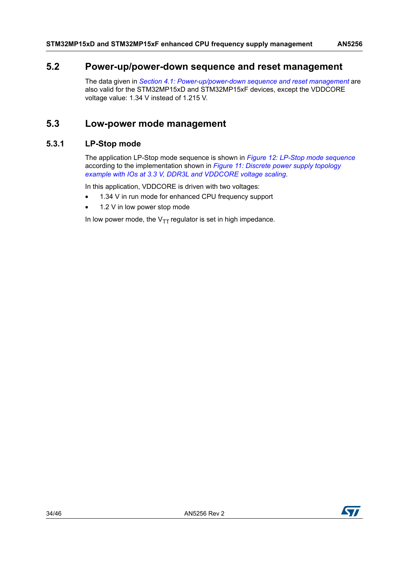### <span id="page-33-0"></span>**5.2 Power-up/power-down sequence and reset management**

The data given in *Section [4.1: Power-up/power-down sequence and reset management](#page-20-1)* are also valid for the STM32MP15xD and STM32MP15xF devices, except the VDDCORE voltage value: 1.34 V instead of 1.215 V.

## <span id="page-33-1"></span>**5.3 Low-power mode management**

#### <span id="page-33-2"></span>**5.3.1 LP-Stop mode**

The application LP-Stop mode sequence is shown in *Figure [12: LP-Stop mode sequence](#page-34-1)* according to the implementation shown in *Figure [11: Discrete power supply topology](#page-31-0)  [example with IOs at 3.3 V, DDR3L and VDDCORE voltage scaling](#page-31-0)*.

In this application, VDDCORE is driven with two voltages:

- 1.34 V in run mode for enhanced CPU frequency support
- 1.2 V in low power stop mode

In low power mode, the  $V_{TT}$  regulator is set in high impedance.

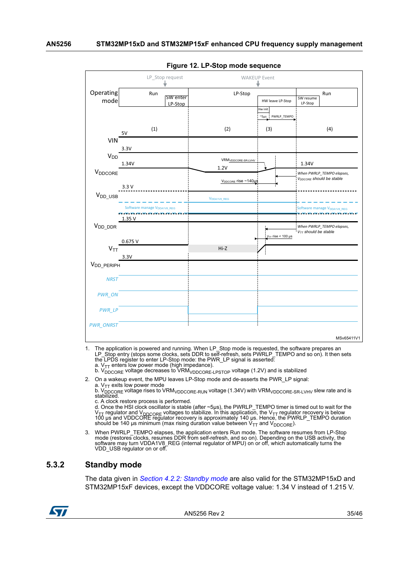<span id="page-34-1"></span>

|                     |                                                                      | . ס             |                                  |                        |                                         |
|---------------------|----------------------------------------------------------------------|-----------------|----------------------------------|------------------------|-----------------------------------------|
|                     |                                                                      | LP_Stop request |                                  | <b>WAKEUP Event</b>    |                                         |
|                     |                                                                      |                 |                                  |                        |                                         |
| Operating           | Run                                                                  |                 | LP-Stop                          |                        | Run                                     |
| mode                |                                                                      | <b>SW</b> enter |                                  | HW leave LP-Stop       | SW resume<br>LP-Stop                    |
|                     |                                                                      | LP-Stop         |                                  | Hw init                |                                         |
|                     |                                                                      |                 |                                  | ~5µs PWRLP_TEMPO       |                                         |
|                     |                                                                      |                 |                                  |                        |                                         |
|                     | (1)<br>5V                                                            |                 | (2)                              | (3)                    | (4)                                     |
| <b>VIN</b>          |                                                                      |                 |                                  |                        |                                         |
|                     | 3.3V                                                                 |                 |                                  |                        |                                         |
| V <sub>DD</sub>     |                                                                      |                 |                                  |                        |                                         |
|                     | 1.34V                                                                |                 | VRM <sub>VDDCORE-SR-LVHV</sub>   |                        | 1.34V                                   |
| V <sub>DDCORE</sub> |                                                                      |                 | 1.2V                             |                        | When PWRLP_TEMPO elapses,               |
|                     |                                                                      |                 | V <sub>DDCORE</sub> rise ~140µ\$ |                        | V <sub>DDCORE</sub> should be stable    |
|                     | 3.3V                                                                 |                 |                                  |                        |                                         |
| V <sub>DD_USB</sub> |                                                                      |                 |                                  |                        |                                         |
|                     |                                                                      |                 | V <sub>DDA1V8_REG</sub>          |                        |                                         |
|                     | Software manage V <sub>DDA1V8_REG</sub><br>an an an an an an an an a |                 |                                  |                        | Software manage V <sub>DDA1V8_REG</sub> |
|                     | 1.35 V                                                               |                 |                                  |                        |                                         |
| $V_{DD\_DDR}$       |                                                                      |                 |                                  |                        | When PWRLP_TEMPO elapses,               |
|                     |                                                                      |                 |                                  | $y_{TT}$ rise < 100 µs | $V_{TT}$ should be stable               |
|                     | 0.675V                                                               |                 |                                  |                        |                                         |
| $V_{TT}$            |                                                                      |                 | Hi-Z                             |                        |                                         |
|                     | 3.3V                                                                 |                 |                                  |                        |                                         |
| $V_{DD\_PERIPH}$    |                                                                      |                 |                                  |                        |                                         |
|                     |                                                                      |                 |                                  |                        |                                         |
| <b>NRST</b>         |                                                                      |                 |                                  |                        |                                         |
|                     |                                                                      |                 |                                  |                        |                                         |
| <b>PWR_ON</b>       |                                                                      |                 |                                  |                        |                                         |
|                     |                                                                      |                 |                                  |                        |                                         |
| PWR_LP              |                                                                      |                 |                                  |                        |                                         |
|                     |                                                                      |                 |                                  |                        |                                         |
| <b>PWR_ONRST</b>    |                                                                      |                 |                                  |                        |                                         |
|                     |                                                                      |                 |                                  |                        | MSv65411V1                              |
|                     |                                                                      |                 |                                  |                        |                                         |

**Figure 12. LP-Stop mode sequence**

- 1. The application is powered and running. When LP\_Stop mode is requested, the software prepares an LP\_Stop entry (stops some clocks, sets DDR to self-refresh, sets PWRLP\_TEMPO and so on). It then sets the LPDS register to enter LP-Stop mode: the PWR\_LP signal is asserted:
	- a.  $V_{TT}$  enters low power mode (high impedance).
	- b.  $V_{DDCORE}$  voltage decreases to  $VRM_{VDDCORE-LPSTOP}$  voltage (1.2V) and is stabilized
- 2. On a wakeup event, the MPU leaves LP-Stop mode and de-asserts the PWR\_LP signal:
	-

a. V<sub>TT</sub> exits low power mode<br>b. V<sub>DDCORE</sub> voltage rises to VRM<sub>VDDCORE-RUN</sub> voltage (1.34V) with VRM<sub>VDDCORE-SR-LVHV</sub> slew rate and is<br>stabilized.

c. A clock restore process is performed.<br>d. Once the HSI clock oscillator is stable (after ~5µs), the PWRLP\_TEMPO timer is timed out to wait for the<br>V<sub>TT</sub> regulator and V<sub>DDCORE</sub> voltages to stabilize. In this application,

3. When PWRLP\_TEMPO elapses, the application enters Run mode. The software resumes from LP-Stop mode (restores clocks, resumes DDR from self-refresh, and so on). Depending on the USB activity, the software may turn VDDA1V8\_REG (internal regulator of MPU) on or off, which automatically turns the VDD\_USB regulator on or off.

#### <span id="page-34-0"></span>**5.3.2 Standby mode**

The data given in *Section [4.2.2: Standby mode](#page-25-0)* are also valid for the STM32MP15xD and STM32MP15xF devices, except the VDDCORE voltage value: 1.34 V instead of 1.215 V.

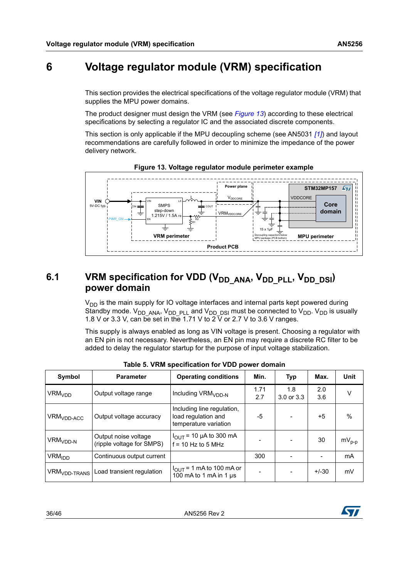## <span id="page-35-0"></span>**6 Voltage regulator module (VRM) specification**

This section provides the electrical specifications of the voltage regulator module (VRM) that supplies the MPU power domains.

The product designer must design the VRM (see *[Figure](#page-35-3) 13*) according to these electrical specifications by selecting a regulator IC and the associated discrete components.

This section is only applicable if the MPU decoupling scheme (see AN5031 *[\[1\]](#page-6-2)*) and layout recommendations are carefully followed in order to minimize the impedance of the power delivery network.

<span id="page-35-3"></span>



## <span id="page-35-1"></span>6.1 VRM specification for VDD (V<sub>DD\_ANA</sub>, V<sub>DD\_PLL</sub>, V<sub>DD\_DSI</sub>) **power domain**

 $V<sub>DD</sub>$  is the main supply for IO voltage interfaces and internal parts kept powered during Standby mode.  $V_{DD}$  ANA,  $V_{DD}$   $_{PLL}$  and  $V_{DD}$   $_{DSI}$  must be connected to  $V_{DD}$ .  $V_{DD}$  is usually 1.8 V or 3.3 V, can be set in the 1.71 V to  $2\bar{V}$  or 2.7 V to 3.6 V ranges.

This supply is always enabled as long as VIN voltage is present. Choosing a regulator with an EN pin is not necessary. Nevertheless, an EN pin may require a discrete RC filter to be added to delay the regulator startup for the purpose of input voltage stabilization.

<span id="page-35-2"></span>

| Symbol                                            | <b>Parameter</b>                                  | <b>Operating conditions</b>                                                | Min.        | Typ               | Max.       | Unit       |
|---------------------------------------------------|---------------------------------------------------|----------------------------------------------------------------------------|-------------|-------------------|------------|------------|
| <b>VRM<sub>VDD</sub></b>                          | Output voltage range                              | Including VRM <sub>VDD-N</sub>                                             | 1.71<br>2.7 | 1.8<br>3.0 or 3.3 | 2.0<br>3.6 | v          |
| $\mathsf{VRM}_{\mathsf{VDD}\text{-}\mathsf{ACC}}$ | Output voltage accuracy                           | Including line regulation,<br>load regulation and<br>temperature variation | -5          |                   | $+5$       | %          |
| VRM <sub>VDD-N</sub>                              | Output noise voltage<br>(ripple voltage for SMPS) | $I_{\text{OUT}}$ = 10 µA to 300 mA<br>$f = 10$ Hz to 5 MHz                 |             |                   | 30         | $mV_{p-p}$ |
| <b>VRM<sub>IDD</sub></b>                          | Continuous output current                         |                                                                            | 300         |                   |            | mA         |
| <b>VRM<sub>VDD-TRANS</sub></b>                    | Load transient regulation                         | $I_{\text{OUT}}$ = 1 mA to 100 mA or<br>100 mA to 1 mA in 1 $\mu$ s        |             |                   | $+/-30$    | mV         |

**Table 5. VRM specification for VDD power domain**

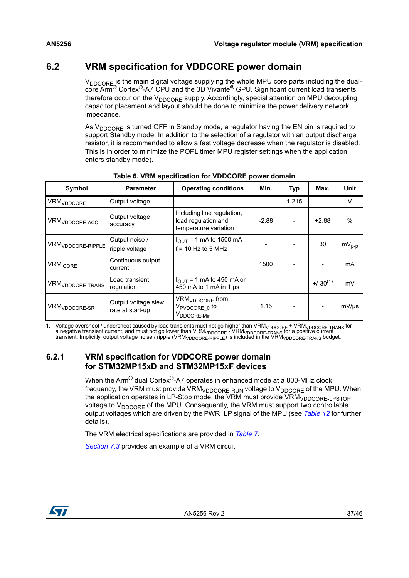## <span id="page-36-0"></span>**6.2 VRM specification for VDDCORE power domain**

V<sub>DDCORE</sub> is the main digital voltage supplying the whole MPU core parts including the dualcore Arm® Cortex®-A7 CPU and the 3D Vivante® GPU. Significant current load transients therefore occur on the  $V_{DDCORE}$  supply. Accordingly, special attention on MPU decoupling capacitor placement and layout should be done to minimize the power delivery network impedance.

As  $V_{\text{DDCORF}}$  is turned OFF in Standby mode, a regulator having the EN pin is required to support Standby mode. In addition to the selection of a regulator with an output discharge resistor, it is recommended to allow a fast voltage decrease when the regulator is disabled. This is in order to minimize the POPL timer MPU register settings when the application enters standby mode).

<span id="page-36-2"></span>

| Symbol                        | <b>Parameter</b>                        | <b>Operating conditions</b>                                                       | Min.    | Typ                      | Max.          | Unit          |
|-------------------------------|-----------------------------------------|-----------------------------------------------------------------------------------|---------|--------------------------|---------------|---------------|
| <b>VRM<sub>VDDCORE</sub></b>  | Output voltage                          |                                                                                   |         | 1.215                    |               | V             |
| VRM <sub>VDDCORE-ACC</sub>    | Output voltage<br>accuracy              | Including line regulation,<br>load regulation and<br>temperature variation        | $-2.88$ | $\overline{\phantom{a}}$ | $+2.88$       | $\frac{0}{0}$ |
| VRM <sub>VDDCORE-RIPPLE</sub> | Output noise /<br>ripple voltage        | $I_{\text{OUT}}$ = 1 mA to 1500 mA<br>$f = 10$ Hz to 5 MHz                        |         |                          | 30            | $mV_{p-p}$    |
| <b>VRM<sub>ICORE</sub></b>    | Continuous output<br>current            |                                                                                   | 1500    |                          |               | mA            |
| VRM <sub>VDDCORE-TRANS</sub>  | Load transient<br>regulation            | $I_{\text{OUT}}$ = 1 mA to 450 mA or<br>450 mA to 1 mA in 1 µs                    |         |                          | $+/-30^{(1)}$ | mV            |
| VRM <sub>VDDCORE-SR</sub>     | Output voltage slew<br>rate at start-up | VRM <sub>VDDCORE</sub> from<br>V <sub>PVDCORE</sub> to<br>V <sub>DDCORE-Min</sub> | 1.15    |                          |               | $mV/\mu s$    |

**Table 6. VRM specification for VDDCORE power domain**

1. Voltage overshoot / undershoot caused by load transients must not go higher than VRM<sub>VDDCORE</sub> + VRM<sub>VDDCORE</sub>.<br>TRANG a negative transient current, and must not go lower than VRM<sub>VDDCORE</sub> - VRM<sub>VDDCORE</sub> - <sub>TRANS</sub> for a po

### <span id="page-36-1"></span>**6.2.1 VRM specification for VDDCORE power domain for STM32MP15xD and STM32MP15xF devices**

When the Arm<sup>®</sup> dual Cortex<sup>®</sup>-A7 operates in enhanced mode at a 800-MHz clock frequency, the VRM must provide VRM<sub>VDDCORE-RUN</sub> voltage to  $V_{DDCORE}$  of the MPU. When the application operates in LP-Stop mode, the VRM must provide VRM<sub>VDDCORE-LPSTOP</sub> voltage to  $V_{\text{DDCORE}}$  of the MPU. Consequently, the VRM must support two controllable output voltages which are driven by the PWR\_LP signal of the MPU (see *[Table](#page-41-2) 12* for further details).

The VRM electrical specifications are provided in *[Table](#page-37-1) 7*.

*[Section](#page-40-0) 7.3* provides an example of a VRM circuit.

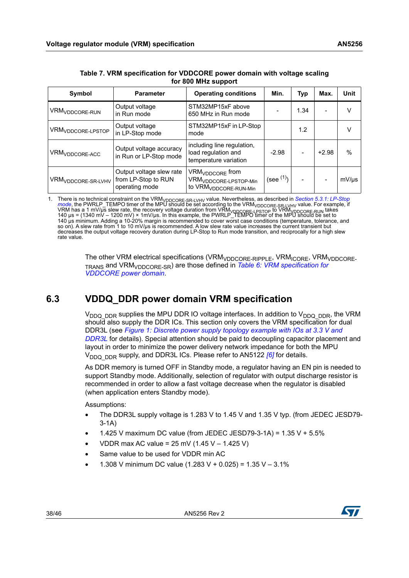<span id="page-37-1"></span>

| Symbol                         | <b>Parameter</b>                                                  | <b>Operating conditions</b>                                                                           | Min.      | Typ  | Max.    | Unit       |
|--------------------------------|-------------------------------------------------------------------|-------------------------------------------------------------------------------------------------------|-----------|------|---------|------------|
| VRM <sub>VDDCORE-RUN</sub>     | Output voltage<br>in Run mode                                     | STM32MP15xF above<br>650 MHz in Run mode                                                              |           | 1.34 |         | v          |
| VRM <sub>VDDCORE-LPSTOP</sub>  | Output voltage<br>in LP-Stop mode                                 | STM32MP15xF in LP-Stop<br>mode                                                                        |           | 1.2  |         | v          |
| VRM <sub>VDDCORE-ACC</sub>     | Output voltage accuracy<br>in Run or LP-Stop mode                 | including line regulation,<br>load regulation and<br>temperature variation                            | $-2.98$   |      | $+2.98$ | %          |
| VRM <sub>VDDCORE-SR-LVHV</sub> | Output voltage slew rate<br>from LP-Stop to RUN<br>operating mode | VRM <sub>VDDCORE</sub> from<br>VRM <sub>VDDCORE-LPSTOP-Min</sub><br>to VRM <sub>VDDCORE-RUN-Min</sub> | (see (1)) |      |         | $mV/\mu s$ |

| Table 7. VRM specification for VDDCORE power domain with voltage scaling |
|--------------------------------------------------------------------------|
| for 800 MHz support                                                      |

1. There is no technical constraint on the VRM<sub>VDDCORE-SR-LVHV</sub> value. Nevertheless, as described in *Section 5.3.1: LP-Stop* [mode](#page-33-2), the PWRLP\_TEMPO timer of the MPU should be set according to the VRM<sub>VDDCORE-SR-LVHV</sub> valu so on). A slew rate from 1 to 10 mV/µs is recommended. A low slew rate value increases the current transient but decreases the output voltage recovery duration during LP-Stop to Run mode transition, and reciprocally for a high slew rate value.

> The other VRM electrical specifications (VRM<sub>VDDCORE-RIPPLE</sub>, VRM<sub>ICORE</sub>, VRM<sub>VDDCORE-</sub> TRANS and VRMVDDCORE-SR) are those defined in *Table [6: VRM specification for](#page-36-2)  [VDDCORE power domain](#page-36-2)*.

## <span id="page-37-0"></span>**6.3 VDDQ\_DDR power domain VRM specification**

 $V_{DDQ-DDR}$  supplies the MPU DDR IO voltage interfaces. In addition to  $V_{DDQ-DDR}$ , the VRM should also supply the DDR ICs. This section only covers the VRM specification for dual DDR3L (see *Figure [1: Discrete power supply topology example with IOs at 3.3 V and](#page-9-0)  [DDR3L](#page-9-0)* for details). Special attention should be paid to decoupling capacitor placement and layout in order to minimize the power delivery network impedance for both the MPU V<sub>DDQ\_DDR</sub> supply, and DDR3L ICs. Please refer to AN5122 *[\[6\]](#page-6-7)* for details.

As DDR memory is turned OFF in Standby mode, a regulator having an EN pin is needed to support Standby mode. Additionally, selection of regulator with output discharge resistor is recommended in order to allow a fast voltage decrease when the regulator is disabled (when application enters Standby mode).

Assumptions:

- The DDR3L supply voltage is 1.283 V to 1.45 V and 1.35 V typ. (from JEDEC JESD79- 3-1A)
- 1.425 V maximum DC value (from JEDEC JESD79-3-1A) = 1.35 V + 5.5%
- VDDR max AC value = 25 mV (1.45 V 1.425 V)
- Same value to be used for VDDR min AC
- 1.308 V minimum DC value (1.283 V + 0.025) = 1.35 V 3.1%

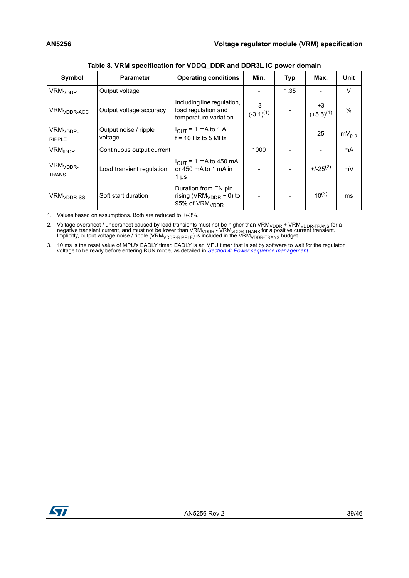<span id="page-38-0"></span>

| Symbol                                | <b>Parameter</b>                 | <b>Operating conditions</b>                                                                    | Min.                   | Typ  | Max.                   | <b>Unit</b>   |
|---------------------------------------|----------------------------------|------------------------------------------------------------------------------------------------|------------------------|------|------------------------|---------------|
| <b>VRM<sub>VDDR</sub></b>             | Output voltage                   |                                                                                                |                        | 1.35 |                        | V             |
| VRM <sub>VDDR-ACC</sub>               | Output voltage accuracy          | Including line regulation,<br>load regulation and<br>temperature variation                     | $-3$<br>$(-3.1)^{(1)}$ |      | $+3$<br>$(+5.5)^{(1)}$ | $\frac{0}{0}$ |
| VRM <sub>VDDR-</sub><br><b>RIPPLE</b> | Output noise / ripple<br>voltage | $I_{\text{OUT}}$ = 1 mA to 1 A<br>$f = 10$ Hz to 5 MHz                                         |                        |      | 25                     | $mV_{p-p}$    |
| <b>VRM<sub>IDDR</sub></b>             | Continuous output current        |                                                                                                | 1000                   |      |                        | mA            |
| VRM <sub>VDDR-</sub><br><b>TRANS</b>  | Load transient regulation        | $I_{\text{OUT}}$ = 1 mA to 450 mA<br>or 450 mA to 1 mA in<br>1 µs                              |                        |      | $+/-25^{(2)}$          | mV            |
| VRM <sub>VDDR-SS</sub>                | Soft start duration              | Duration from EN pin<br>rising (VRM <sub>VDDR</sub> $\sim$ 0) to<br>95% of VRM <sub>VDDR</sub> |                        |      | $10^{(3)}$             | ms            |

**Table 8. VRM specification for VDDQ\_DDR and DDR3L IC power domain**

<span id="page-38-1"></span>1. Values based on assumptions. Both are reduced to +/-3%.

2. Voltage overshoot / undershoot caused by load transients must not be higher than VRM<sub>VDDR</sub> + VRM<sub>VDDR-TRANS</sub> for a<br>negative transient current, and must not be lower than VRM<sub>VDDR</sub> - VRM<sub>VDDR-TRANS</sub> for a positive curren

3. 10 ms is the reset value of MPU's EADLY timer. EADLY is an MPU timer that is set by software to wait for the regulator voltage to be ready before entering RUN mode, as detailed in [Section 4: Power sequence management](#page-20-0).

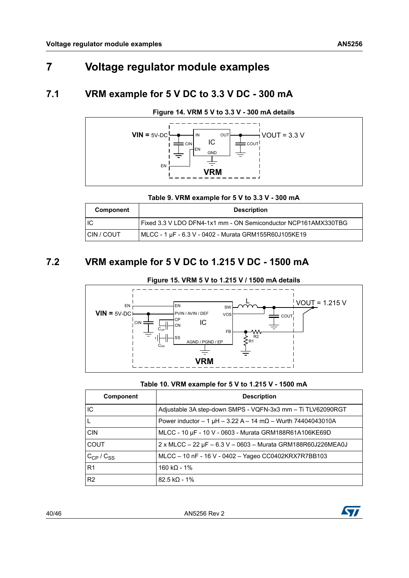## <span id="page-39-0"></span>**7 Voltage regulator module examples**

## <span id="page-39-1"></span>**7.1 VRM example for 5 V DC to 3.3 V DC - 300 mA**

<span id="page-39-5"></span>

## **Figure 14. VRM 5 V to 3.3 V - 300 mA details**

**Table 9. VRM example for 5 V to 3.3 V - 300 mA**

<span id="page-39-3"></span>

| Component        | <b>Description</b>                                             |
|------------------|----------------------------------------------------------------|
| ПC               | Fixed 3.3 V LDO DFN4-1x1 mm - ON Semiconductor NCP161AMX330TBG |
| <b>ICIN/COUT</b> | MLCC - 1 µF - 6.3 V - 0402 - Murata GRM155R60J105KE19          |

## <span id="page-39-2"></span>**7.2 VRM example for 5 V DC to 1.215 V DC - 1500 mA**

<span id="page-39-6"></span>

#### **Table 10. VRM example for 5 V to 1.215 V - 1500 mA**

<span id="page-39-4"></span>

| Component           | <b>Description</b>                                                    |
|---------------------|-----------------------------------------------------------------------|
| IC                  | Adjustable 3A step-down SMPS - VQFN-3x3 mm - Ti TLV62090RGT           |
| L.                  | Power inductor $-1 \mu H - 3.22 A - 14 m\Omega - W$ urth 74404043010A |
| <b>CIN</b>          | MLCC - 10 µF - 10 V - 0603 - Murata GRM188R61A106KE69D                |
| <b>COUT</b>         | $2 \times$ MLCC – 22 µF – 6.3 V – 0603 – Murata GRM188R60J226MEA0J    |
| $C_{CP}$ / $C_{SS}$ | MLCC - 10 nF - 16 V - 0402 - Yageo CC0402KRX7R7BB103                  |
| R <sub>1</sub>      | 160 kΩ - 1%                                                           |
| R <sub>2</sub>      | $82.5 k\Omega - 1%$                                                   |

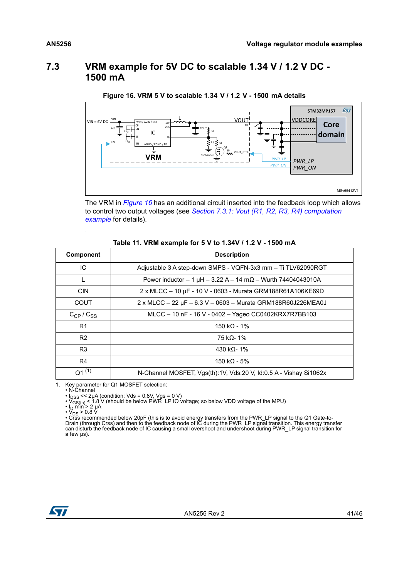## <span id="page-40-2"></span><span id="page-40-0"></span>**7.3 VRM example for 5V DC to scalable 1.34 V / 1.2 V DC - 1500 mA**



**Figure 16. VRM 5 V to scalable 1.34 V / 1.2 V - 1500 mA details**

The VRM in *[Figure](#page-40-2) 16* has an additional circuit inserted into the feedback loop which allows to control two output voltages (see *Section [7.3.1: Vout \(R1, R2, R3, R4\) computation](#page-41-0)  [example](#page-41-0)* for details).

#### **Table 11. VRM example for 5 V to 1.34V / 1.2 V - 1500 mA**

<span id="page-40-1"></span>

| <b>Component</b> | <b>Description</b>                                                    |
|------------------|-----------------------------------------------------------------------|
| IC               | Adjustable 3 A step-down SMPS - VQFN-3x3 mm - Ti TLV62090RGT          |
|                  | Power inductor $-1 \mu H - 3.22 A - 14 m\Omega - W$ urth 74404043010A |
| <b>CIN</b>       | 2 x MLCC - 10 μF - 10 V - 0603 - Murata GRM188R61A106KE69D            |
| COUT             | 2 x MLCC - 22 μF - 6.3 V - 0603 - Murata GRM188R60J226MEA0J           |
| $C_{CP}/C_{SS}$  | MLCC - 10 nF - 16 V - 0402 - Yageo CC0402KRX7R7BB103                  |
| R <sub>1</sub>   | 150 k $\Omega$ - 1%                                                   |
| R <sub>2</sub>   | 75 kΩ- 1%                                                             |
| R <sub>3</sub>   | 430 kΩ- 1%                                                            |
| R4               | 150 k $\Omega$ - 5%                                                   |
| $Q1^{(1)}$       | N-Channel MOSFET, Vgs(th):1V, Vds:20 V, Id:0.5 A - Vishay Si1062x     |

1. Key parameter for Q1 MOSFET selection:

• N-Channel

• I<sub>DSS</sub> << 2μA (condition: Vds = 0.8V, Vgs = 0 V)<br>• V<sub>GS(th)</sub> < 1.8 V (should be below PWR\_LP IO voltage; so below VDD voltage of the MPU)<br>• I<sub>D</sub> min > 2 μA<br>• V<sub>DS</sub> > 0.8 V<br>• Crss recommended below 20pF (this is to avoi can disturb the feedback node of IC causing a small overshoot and undershoot during PWR\_LP signal transition for a few µs).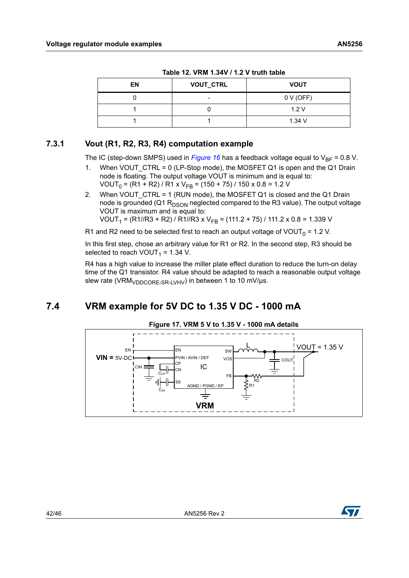<span id="page-41-2"></span>

| EN | <b>VOUT_CTRL</b>         | <b>VOUT</b> |
|----|--------------------------|-------------|
|    | $\overline{\phantom{0}}$ | 0 V (OFF)   |
|    |                          | 1.2V        |
|    |                          | 1.34V       |

**Table 12. VRM 1.34V / 1.2 V truth table**

### <span id="page-41-0"></span>**7.3.1 Vout (R1, R2, R3, R4) computation example**

The IC (step-down SMPS) used in *[Figure](#page-40-2)* 16 has a feedback voltage equal to  $V_{BF}$  = 0.8 V.

- 1. When VOUT CTRL = 0 (LP-Stop mode), the MOSFET Q1 is open and the Q1 Drain node is floating. The output voltage VOUT is minimum and is equal to: VOUT<sub>0</sub> = (R1 + R2) / R1 x V<sub>FB</sub> = (150 + 75) / 150 x 0.8 = 1.2 V
- 2. When VOUT CTRL = 1 (RUN mode), the MOSFET Q1 is closed and the Q1 Drain node is grounded (Q1  $R_{DSON}$  neglected compared to the R3 value). The output voltage VOUT is maximum and is equal to: VOUT<sub>1</sub> = (R1//R3 + R2) / R1//R3 x V<sub>FB</sub> = (111.2 + 75) / 111.2 x 0.8 = 1.339 V

R1 and R2 need to be selected first to reach an output voltage of VOUT<sub>0</sub> = 1.2 V.

In this first step, chose an arbitrary value for R1 or R2. In the second step, R3 should be selected to reach VOUT<sub>1</sub> = 1.34 V.

R4 has a high value to increase the miller plate effect duration to reduce the turn-on delay time of the Q1 transistor. R4 value should be adapted to reach a reasonable output voltage slew rate (VRM<sub>VDDCORE-SR-LVHV</sub>) in between 1 to 10 mV/ $\mu$ s.

## <span id="page-41-1"></span>**7.4 VRM example for 5V DC to 1.35 V DC - 1000 mA**

<span id="page-41-3"></span>

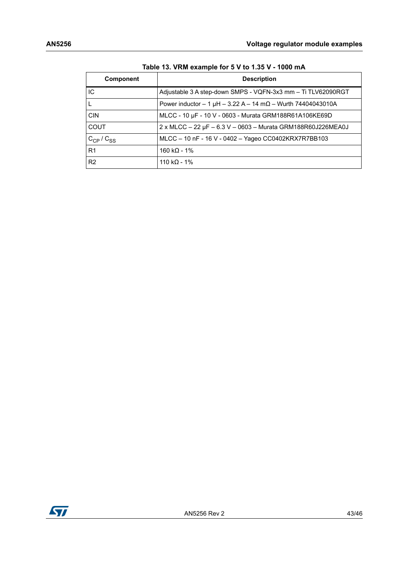<span id="page-42-0"></span>

| Component       | <b>Description</b>                                                    |
|-----------------|-----------------------------------------------------------------------|
| IС              | Adjustable 3 A step-down SMPS - VQFN-3x3 mm - Ti TLV62090RGT          |
|                 | Power inductor $-1 \mu H - 3.22 A - 14 m\Omega - W$ urth 74404043010A |
| <b>CIN</b>      | MLCC - 10 µF - 10 V - 0603 - Murata GRM188R61A106KE69D                |
| <b>COUT</b>     | $2 \times$ MLCC - 22 µF - 6.3 V - 0603 - Murata GRM188R60J226MEA0J    |
| $C_{CP}/C_{SS}$ | MLCC - 10 nF - 16 V - 0402 - Yageo CC0402KRX7R7BB103                  |
| R <sub>1</sub>  | 160 k $\Omega$ - 1%                                                   |
| R <sub>2</sub>  | 110 kQ - 1%                                                           |

**Table 13. VRM example for 5 V to 1.35 V - 1000 mA**

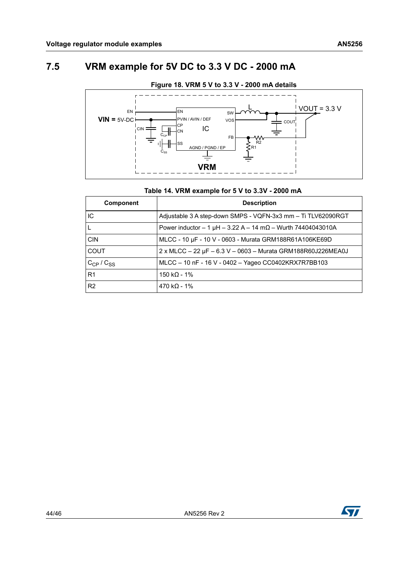## <span id="page-43-0"></span>**7.5 VRM example for 5V DC to 3.3 V DC - 2000 mA**

<span id="page-43-2"></span>

#### **Table 14. VRM example for 5 V to 3.3V - 2000 mA**

<span id="page-43-1"></span>

| <b>Component</b> | <b>Description</b>                                                   |
|------------------|----------------------------------------------------------------------|
| IC               | Adjustable 3 A step-down SMPS - VQFN-3x3 mm - Ti TLV62090RGT         |
|                  | Power inductor $-1 \mu H - 3.22 A - 14 m\Omega -$ Wurth 74404043010A |
| <b>CIN</b>       | MLCC - 10 µF - 10 V - 0603 - Murata GRM188R61A106KE69D               |
| COUT             | 2 x MLCC - 22 μF - 6.3 V - 0603 - Murata GRM188R60J226MEA0J          |
| $C_{CP}/C_{SS}$  | MLCC - 10 nF - 16 V - 0402 - Yageo CC0402KRX7R7BB103                 |
| R <sub>1</sub>   | 150 kQ - 1%                                                          |
| R <sub>2</sub>   | $470 k\Omega - 1%$                                                   |

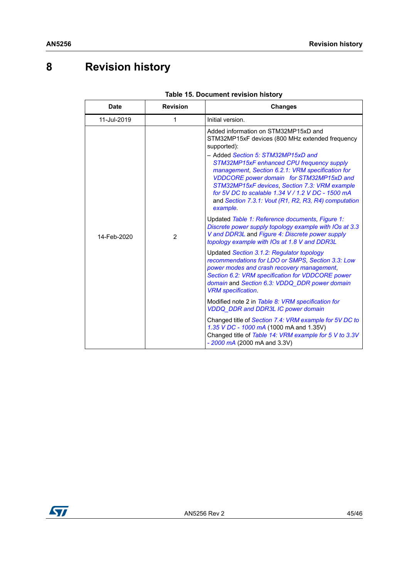## <span id="page-44-0"></span>**8 Revision history**

<span id="page-44-1"></span>

| <b>Date</b> | <b>Revision</b> | <b>Changes</b>                                                                                                                                                                                                                                                                 |
|-------------|-----------------|--------------------------------------------------------------------------------------------------------------------------------------------------------------------------------------------------------------------------------------------------------------------------------|
| 11-Jul-2019 | 1               | Initial version.                                                                                                                                                                                                                                                               |
| 14-Feb-2020 | 2               | Added information on STM32MP15xD and<br>STM32MP15xF devices (800 MHz extended frequency<br>supported):<br>- Added Section 5: STM32MP15xD and<br>STM32MP15xF enhanced CPU frequency supply                                                                                      |
|             |                 | management, Section 6.2.1: VRM specification for<br>VDDCORE power domain for STM32MP15xD and<br>STM32MP15xF devices, Section 7.3: VRM example<br>for 5V DC to scalable 1.34 V / 1.2 V DC - 1500 mA<br>and Section 7.3.1: Vout (R1, R2, R3, R4) computation<br>example.         |
|             |                 | Updated Table 1: Reference documents, Figure 1:<br>Discrete power supply topology example with IOs at 3.3<br>V and DDR3L and Figure 4: Discrete power supply<br>topology example with IOs at 1.8 V and DDR3L                                                                   |
|             |                 | Updated Section 3.1.2: Regulator topology<br>recommendations for LDO or SMPS, Section 3.3: Low<br>power modes and crash recovery management,<br>Section 6.2: VRM specification for VDDCORE power<br>domain and Section 6.3: VDDQ_DDR power domain<br><b>VRM</b> specification. |
|             |                 | Modified note 2 in Table 8: VRM specification for<br><b>VDDQ_DDR</b> and DDR3L IC power domain                                                                                                                                                                                 |
|             |                 | Changed title of Section 7.4: VRM example for 5V DC to<br>1.35 V DC - 1000 mA (1000 mA and 1.35V)<br>Changed title of Table 14: VRM example for 5 V to 3.3V<br>$-2000$ mA (2000 mA and 3.3V)                                                                                   |

#### **Table 15. Document revision history**